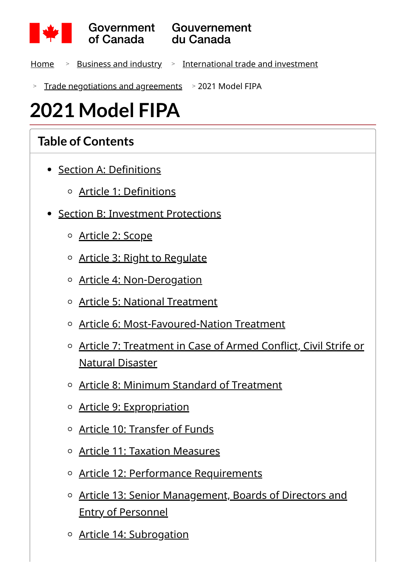

- <u>[Home](https://www.canada.ca/en.html) > [Business and industry](https://www.canada.ca/en/services/business.html) > [International trade and investment](https://www.canada.ca/en/services/business/trade.html)</u>
- > [Trade negotiations and agreements](https://www.canada.ca/en/services/business/trade/negotiations-agreements.html) > 2021 Model FIPA

# **2021 Model FIPA**

#### **Table of Contents**

- [Section A: Definitions](#page-4-0)
	- [Article 1: Definitions](#page-4-1)
- [Section B: Investment Protections](#page-10-0)
	- [Article 2: Scope](#page-10-1)
	- o [Article 3: Right to Regulate](#page-11-0)
	- o [Article 4: Non-Derogation](#page-11-1)
	- [Article 5: National Treatment](#page-11-2)
	- [Article 6: Most-Favoured-Nation Treatment](#page-12-0)  $\circ$
	- [Article 7: Treatment in Case of Armed Conflict, Civil Strife or](#page-13-0) Natural Disaster
	- [Article 8: Minimum Standard of Treatment](#page-14-0)  $\circ$
	- o [Article 9: Expropriation](#page-15-0)
	- [Article 10: Transfer of Funds](#page-17-0)
	- [Article 11: Taxation Measures](#page-19-0)
	- o [Article 12: Performance Requirements](#page-22-0)
	- [Article 13: Senior Management, Boards of Directors and](#page-25-0) Entry of Personnel
	- o [Article 14: Subrogation](#page-26-0)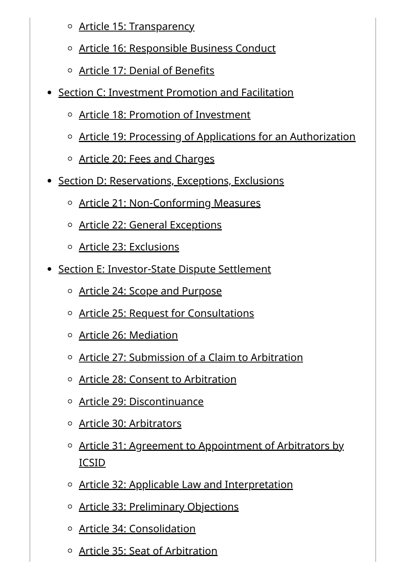- [Article 15: Transparency](#page-26-1)
- [Article 16: Responsible Business Conduct](#page-27-0)
- [Article 17: Denial of Benefits](#page-28-0)
- [Section C: Investment Promotion and Facilitation](#page-29-0)
	- [Article 18: Promotion of Investment](#page-29-1)
	- [Article 19: Processing of Applications for an Authorization](#page-29-2)
	- o [Article 20: Fees and Charges](#page-30-0)
- [Section D: Reservations, Exceptions, Exclusions](#page-31-0)
	- [Article 21: Non-Conforming Measures](#page-31-1)
	- [Article 22: General Exceptions](#page-33-0)
	- [Article 23: Exclusions](#page-35-0)
- [Section E: Investor-State Dispute Settlement](#page-36-0)
	- o [Article 24: Scope and Purpose](#page-36-1)
	- o [Article 25: Request for Consultations](#page-36-2)
	- [Article 26: Mediation](#page-38-0)
	- $\circ$  [Article 27: Submission of a Claim to Arbitration](#page-39-0)
	- [Article 28: Consent to Arbitration](#page-42-0)
	- o [Article 29: Discontinuance](#page-43-0)
	- o [Article 30: Arbitrators](#page-43-1)
	- [Article 31: Agreement to Appointment of Arbitrators by](#page-44-0) ICSID
	- o [Article 32: Applicable Law and Interpretation](#page-45-0)
	- o [Article 33: Preliminary Objections](#page-46-0)
	- [Article 34: Consolidation](#page-47-0)
	- [Article 35: Seat of Arbitration](#page-49-0)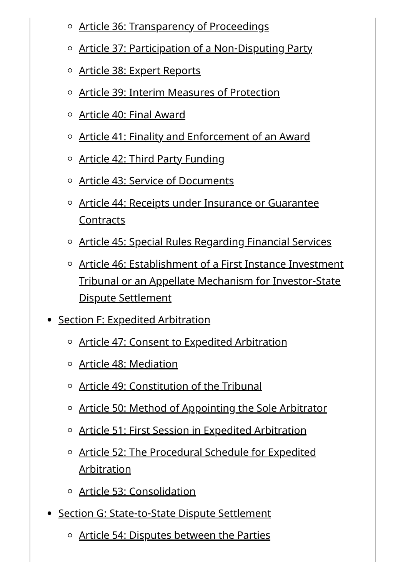- o [Article 36: Transparency of Proceedings](#page-49-1)
- o [Article 37: Participation of a Non-Disputing Party](#page-51-0)
- [Article 38: Expert Reports](#page-52-0)
- $\circ$  [Article 39: Interim Measures of Protection](#page-52-1)
- [Article 40: Final Award](#page-53-0)
- [Article 41: Finality and Enforcement of an Award](#page-55-0)
- o [Article 42: Third Party Funding](#page-56-0)
- [Article 43: Service of Documents](#page-57-0)
- o [Article 44: Receipts under Insurance or Guarantee](#page-57-1) **Contracts**
- [Article 45: Special Rules Regarding Financial Services](#page-57-2)
- $\circ$  [Article 46: Establishment of a First Instance Investment](#page-60-0) Tribunal or an Appellate Mechanism for Investor-State Dispute Settlement
- [Section F: Expedited Arbitration](#page-61-0)
	- [Article 47: Consent to Expedited Arbitration](#page-61-1)
	- [Article 48: Mediation](#page-61-2)
	- [Article 49: Constitution of the Tribunal](#page-62-0)
	- o [Article 50: Method of Appointing the Sole Arbitrator](#page-62-1)
	- o [Article 51: First Session in Expedited Arbitration](#page-64-0)
	- [Article 52: The Procedural Schedule for Expedited](#page-64-1) Arbitration
	- [Article 53: Consolidation](#page-67-0)
- [Section G: State-to-State Dispute Settlement](#page-67-1)
	- $\circ$  [Article 54: Disputes between the Parties](#page-67-2)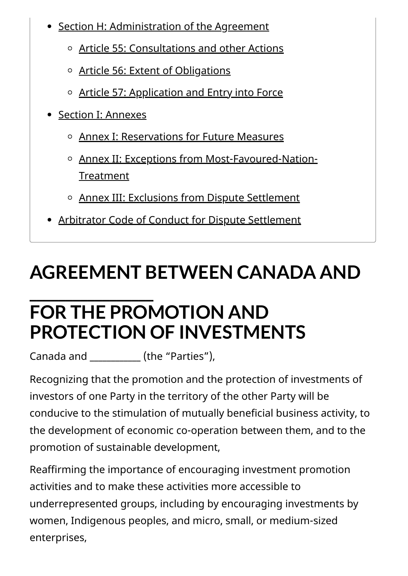- [Section H: Administration of the Agreement](#page-70-0)
	- [Article 55: Consultations and other Actions](#page-70-1)
	- o [Article 56: Extent of Obligations](#page-70-2)
	- o [Article 57: Application and Entry into Force](#page-70-3)
- [Section I: Annexes](#page-71-0)
	- [Annex I: Reservations for Future Measures](#page-71-1)
	- [Annex II: Exceptions from Most-Favoured-Nation-](#page-71-2)Treatment
	- [Annex III: Exclusions from Dispute Settlement](#page-71-3)
- [Arbitrator Code of Conduct for Dispute Settlement](#page-71-4)

# **AGREEMENT BETWEEN CANADA AND**

### **\_\_\_\_\_\_\_\_\_\_\_\_\_\_\_\_\_ FOR THE PROMOTION AND PROTECTION OF INVESTMENTS**

Canada and (the "Parties"),

Recognizing that the promotion and the protection of investments of investors of one Party in the territory of the other Party will be conducive to the stimulation of mutually beneficial business activity, to the development of economic co-operation between them, and to the promotion of sustainable development,

Reaffirming the importance of encouraging investment promotion activities and to make these activities more accessible to underrepresented groups, including by encouraging investments by women, Indigenous peoples, and micro, small, or medium-sized enterprises,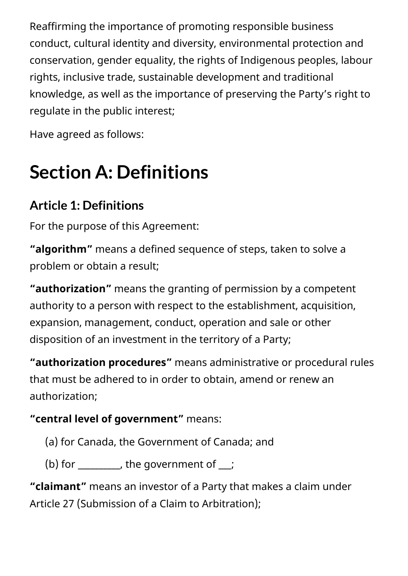Reaffirming the importance of promoting responsible business conduct, cultural identity and diversity, environmental protection and conservation, gender equality, the rights of Indigenous peoples, labour rights, inclusive trade, sustainable development and traditional knowledge, as well as the importance of preserving the Party's right to regulate in the public interest;

Have agreed as follows:

# <span id="page-4-0"></span>**Section A: Definitions**

### <span id="page-4-1"></span>**Article 1: Definitions**

For the purpose of this Agreement:

**"algorithm"** means a defined sequence of steps, taken to solve a problem or obtain a result;

**"authorization"** means the granting of permission by a competent authority to a person with respect to the establishment, acquisition, expansion, management, conduct, operation and sale or other disposition of an investment in the territory of a Party;

**"authorization procedures"** means administrative or procedural rules that must be adhered to in order to obtain, amend or renew an authorization;

#### **"central level of government"** means:

- (a) for Canada, the Government of Canada; and
- (b) for  $\frac{1}{\sqrt{2}}$ , the government of  $\frac{1}{\sqrt{2}}$ ;

**"claimant"** means an investor of a Party that makes a claim under Article 27 (Submission of a Claim to Arbitration);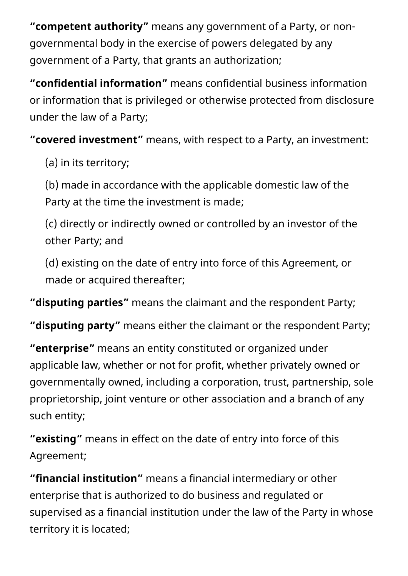**"competent authority"** means any government of a Party, or nongovernmental body in the exercise of powers delegated by any government of a Party, that grants an authorization;

**"confidential information"** means confidential business information or information that is privileged or otherwise protected from disclosure under the law of a Party;

**"covered investment"** means, with respect to a Party, an investment:

(a) in its territory;

(b) made in accordance with the applicable domestic law of the Party at the time the investment is made;

(c) directly or indirectly owned or controlled by an investor of the other Party; and

(d) existing on the date of entry into force of this Agreement, or made or acquired thereafter;

**"disputing parties"** means the claimant and the respondent Party;

**"disputing party"** means either the claimant or the respondent Party;

**"enterprise"** means an entity constituted or organized under applicable law, whether or not for profit, whether privately owned or governmentally owned, including a corporation, trust, partnership, sole proprietorship, joint venture or other association and a branch of any such entity;

**"existing"** means in effect on the date of entry into force of this Agreement;

**"financial institution"** means a financial intermediary or other enterprise that is authorized to do business and regulated or supervised as a financial institution under the law of the Party in whose territory it is located;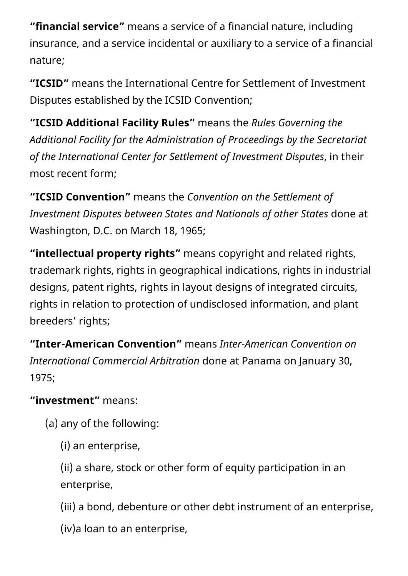**"financial service"** means a service of a financial nature, including insurance, and a service incidental or auxiliary to a service of a financial nature;

**"ICSID"** means the International Centre for Settlement of Investment Disputes established by the ICSID Convention;

**"ICSID Additional Facility Rules"** means the *Rules Governing the Additional Facility for the Administration of Proceedings by the Secretariat of the International Center for Settlement of Investment Disputes*, in their most recent form;

**"ICSID Convention"** means the *Convention on the Settlement of Investment Disputes between States and Nationals of other States* done at Washington, D.C. on March 18, 1965;

**"intellectual property rights"** means copyright and related rights, trademark rights, rights in geographical indications, rights in industrial designs, patent rights, rights in layout designs of integrated circuits, rights in relation to protection of undisclosed information, and plant breeders' rights;

**"Inter-American Convention"** means *Inter-American Convention on International Commercial Arbitration* done at Panama on January 30, 1975;

**"investment"** means:

(a) any of the following:

(i) an enterprise,

(ii) a share, stock or other form of equity participation in an enterprise,

(iii) a bond, debenture or other debt instrument of an enterprise,

(iv)a loan to an enterprise,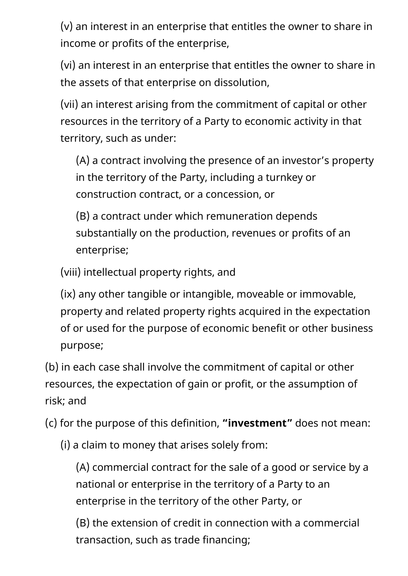(v) an interest in an enterprise that entitles the owner to share in income or profits of the enterprise,

(vi) an interest in an enterprise that entitles the owner to share in the assets of that enterprise on dissolution,

(vii) an interest arising from the commitment of capital or other resources in the territory of a Party to economic activity in that territory, such as under:

(A) a contract involving the presence of an investor's property in the territory of the Party, including a turnkey or construction contract, or a concession, or

(B) a contract under which remuneration depends substantially on the production, revenues or profits of an enterprise;

(viii) intellectual property rights, and

(ix) any other tangible or intangible, moveable or immovable, property and related property rights acquired in the expectation of or used for the purpose of economic benefit or other business purpose;

(b) in each case shall involve the commitment of capital or other resources, the expectation of gain or profit, or the assumption of risk; and

(c) for the purpose of this definition, **"investment"** does not mean:

(i) a claim to money that arises solely from:

(A) commercial contract for the sale of a good or service by a national or enterprise in the territory of a Party to an enterprise in the territory of the other Party, or

(B) the extension of credit in connection with a commercial transaction, such as trade financing;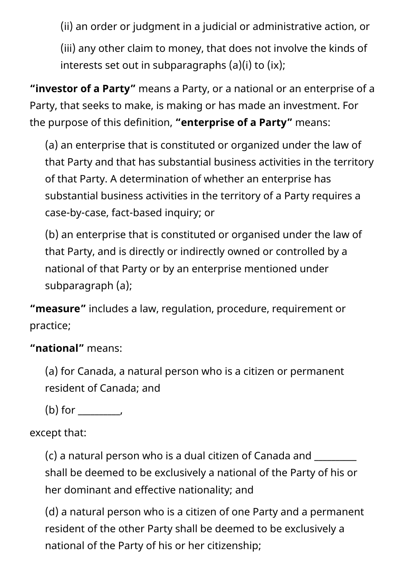(ii) an order or judgment in a judicial or administrative action, or

(iii) any other claim to money, that does not involve the kinds of interests set out in subparagraphs (a)(i) to (ix);

**"investor of a Party"** means a Party, or a national or an enterprise of a Party, that seeks to make, is making or has made an investment. For the purpose of this definition, **"enterprise of a Party"** means:

(a) an enterprise that is constituted or organized under the law of that Party and that has substantial business activities in the territory of that Party. A determination of whether an enterprise has substantial business activities in the territory of a Party requires a case-by-case, fact-based inquiry; or

(b) an enterprise that is constituted or organised under the law of that Party, and is directly or indirectly owned or controlled by a national of that Party or by an enterprise mentioned under subparagraph (a);

**"measure"** includes a law, regulation, procedure, requirement or practice;

#### **"national"** means:

(a) for Canada, a natural person who is a citizen or permanent resident of Canada; and

(b) for \_\_\_\_\_\_\_\_\_\_,

#### except that:

 $(c)$  a natural person who is a dual citizen of Canada and  $\sqrt{a}$ shall be deemed to be exclusively a national of the Party of his or her dominant and effective nationality; and

(d) a natural person who is a citizen of one Party and a permanent resident of the other Party shall be deemed to be exclusively a national of the Party of his or her citizenship;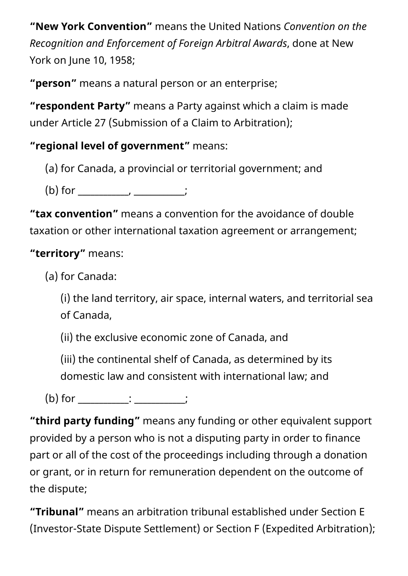**"New York Convention"** means the United Nations *Convention on the Recognition and Enforcement of Foreign Arbitral Awards*, done at New York on June 10, 1958;

**"person"** means a natural person or an enterprise;

**"respondent Party"** means a Party against which a claim is made under Article 27 (Submission of a Claim to Arbitration);

**"regional level of government"** means:

(a) for Canada, a provincial or territorial government; and

(b) for \_\_\_\_\_\_\_\_\_\_\_\_, \_\_\_\_\_\_\_\_\_\_\_\_;

**"tax convention"** means a convention for the avoidance of double taxation or other international taxation agreement or arrangement;

#### **"territory"** means:

(a) for Canada:

(i) the land territory, air space, internal waters, and territorial sea of Canada,

(ii) the exclusive economic zone of Canada, and

(iii) the continental shelf of Canada, as determined by its domestic law and consistent with international law; and

(b) for \_\_\_\_\_\_\_\_\_\_\_\_: \_\_\_\_\_\_\_\_\_\_\_\_;

**"third party funding"** means any funding or other equivalent support provided by a person who is not a disputing party in order to finance part or all of the cost of the proceedings including through a donation or grant, or in return for remuneration dependent on the outcome of the dispute;

**"Tribunal"** means an arbitration tribunal established under Section E (Investor-State Dispute Settlement) or Section F (Expedited Arbitration);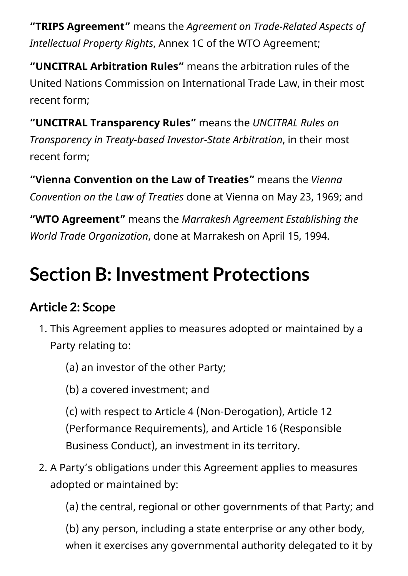**"TRIPS Agreement"** means the *Agreement on Trade-Related Aspects of Intellectual Property Rights*, Annex 1C of the WTO Agreement;

**"UNCITRAL Arbitration Rules"** means the arbitration rules of the United Nations Commission on International Trade Law, in their most recent form;

**"UNCITRAL Transparency Rules"** means the *UNCITRAL Rules on Transparency in Treaty-based Investor-State Arbitration*, in their most recent form;

**"Vienna Convention on the Law of Treaties"** means the *Vienna Convention on the Law of Treaties* done at Vienna on May 23, 1969; and

**"WTO Agreement"** means the *Marrakesh Agreement Establishing the World Trade Organization*, done at Marrakesh on April 15, 1994.

## <span id="page-10-0"></span>**Section B: Investment Protections**

#### <span id="page-10-1"></span>**Article 2: Scope**

- 1. This Agreement applies to measures adopted or maintained by a Party relating to:
	- (a) an investor of the other Party;
	- (b) a covered investment; and

(c) with respect to Article 4 (Non-Derogation), Article 12 (Performance Requirements), and Article 16 (Responsible Business Conduct), an investment in its territory.

2. A Party's obligations under this Agreement applies to measures adopted or maintained by:

(a) the central, regional or other governments of that Party; and

(b) any person, including a state enterprise or any other body, when it exercises any governmental authority delegated to it by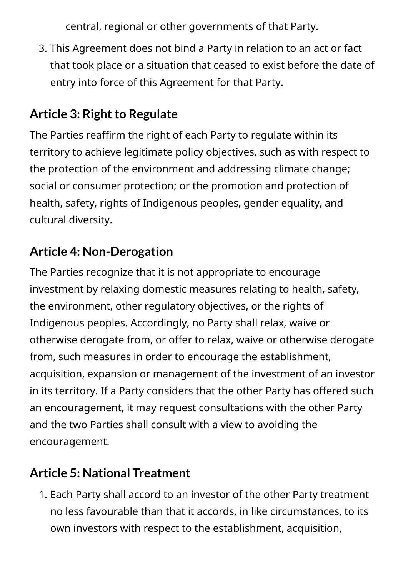central, regional or other governments of that Party.

3. This Agreement does not bind a Party in relation to an act or fact that took place or a situation that ceased to exist before the date of entry into force of this Agreement for that Party.

#### <span id="page-11-0"></span>**Article 3: Right to Regulate**

The Parties reaffirm the right of each Party to regulate within its territory to achieve legitimate policy objectives, such as with respect to the protection of the environment and addressing climate change; social or consumer protection; or the promotion and protection of health, safety, rights of Indigenous peoples, gender equality, and cultural diversity.

#### <span id="page-11-1"></span>**Article 4: Non-Derogation**

The Parties recognize that it is not appropriate to encourage investment by relaxing domestic measures relating to health, safety, the environment, other regulatory objectives, or the rights of Indigenous peoples. Accordingly, no Party shall relax, waive or otherwise derogate from, or offer to relax, waive or otherwise derogate from, such measures in order to encourage the establishment, acquisition, expansion or management of the investment of an investor in its territory. If a Party considers that the other Party has offered such an encouragement, it may request consultations with the other Party and the two Parties shall consult with a view to avoiding the encouragement.

#### <span id="page-11-2"></span>**Article 5: National Treatment**

1. Each Party shall accord to an investor of the other Party treatment no less favourable than that it accords, in like circumstances, to its own investors with respect to the establishment, acquisition,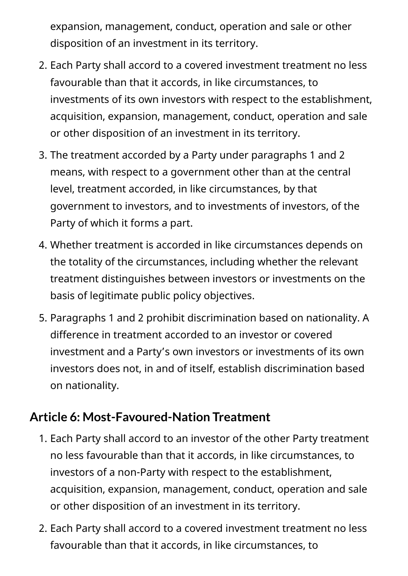expansion, management, conduct, operation and sale or other disposition of an investment in its territory.

- 2. Each Party shall accord to a covered investment treatment no less favourable than that it accords, in like circumstances, to investments of its own investors with respect to the establishment, acquisition, expansion, management, conduct, operation and sale or other disposition of an investment in its territory.
- 3. The treatment accorded by a Party under paragraphs 1 and 2 means, with respect to a government other than at the central level, treatment accorded, in like circumstances, by that government to investors, and to investments of investors, of the Party of which it forms a part.
- 4. Whether treatment is accorded in like circumstances depends on the totality of the circumstances, including whether the relevant treatment distinguishes between investors or investments on the basis of legitimate public policy objectives.
- 5. Paragraphs 1 and 2 prohibit discrimination based on nationality. A difference in treatment accorded to an investor or covered investment and a Party's own investors or investments of its own investors does not, in and of itself, establish discrimination based on nationality.

#### <span id="page-12-0"></span>**Article 6: Most-Favoured-Nation Treatment**

- 1. Each Party shall accord to an investor of the other Party treatment no less favourable than that it accords, in like circumstances, to investors of a non-Party with respect to the establishment, acquisition, expansion, management, conduct, operation and sale or other disposition of an investment in its territory.
- 2. Each Party shall accord to a covered investment treatment no less favourable than that it accords, in like circumstances, to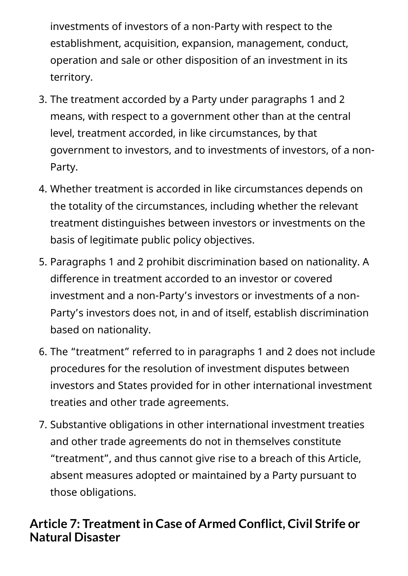investments of investors of a non-Party with respect to the establishment, acquisition, expansion, management, conduct, operation and sale or other disposition of an investment in its territory.

- 3. The treatment accorded by a Party under paragraphs 1 and 2 means, with respect to a government other than at the central level, treatment accorded, in like circumstances, by that government to investors, and to investments of investors, of a non-Party.
- 4. Whether treatment is accorded in like circumstances depends on the totality of the circumstances, including whether the relevant treatment distinguishes between investors or investments on the basis of legitimate public policy objectives.
- 5. Paragraphs 1 and 2 prohibit discrimination based on nationality. A difference in treatment accorded to an investor or covered investment and a non-Party's investors or investments of a non-Party's investors does not, in and of itself, establish discrimination based on nationality.
- 6. The "treatment" referred to in paragraphs 1 and 2 does not include procedures for the resolution of investment disputes between investors and States provided for in other international investment treaties and other trade agreements.
- 7. Substantive obligations in other international investment treaties and other trade agreements do not in themselves constitute "treatment", and thus cannot give rise to a breach of this Article, absent measures adopted or maintained by a Party pursuant to those obligations.

#### <span id="page-13-0"></span>**Article 7: Treatmentin Case of Armed Conflict, Civil Strife or Natural Disaster**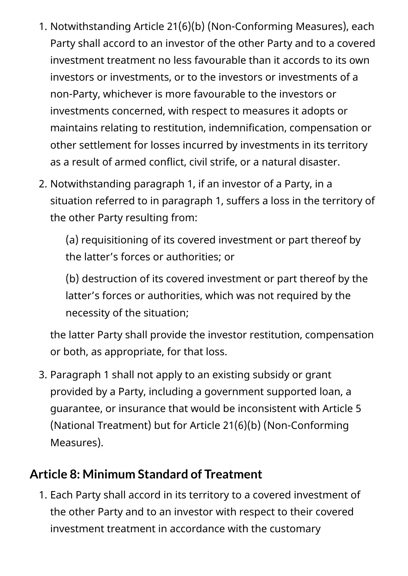- 1. Notwithstanding Article 21(6)(b) (Non-Conforming Measures), each Party shall accord to an investor of the other Party and to a covered investment treatment no less favourable than it accords to its own investors or investments, or to the investors or investments of a non-Party, whichever is more favourable to the investors or investments concerned, with respect to measures it adopts or maintains relating to restitution, indemnification, compensation or other settlement for losses incurred by investments in its territory as a result of armed conflict, civil strife, or a natural disaster.
- 2. Notwithstanding paragraph 1, if an investor of a Party, in a situation referred to in paragraph 1, suffers a loss in the territory of the other Party resulting from:

(a) requisitioning of its covered investment or part thereof by the latter's forces or authorities; or

(b) destruction of its covered investment or part thereof by the latter's forces or authorities, which was not required by the necessity of the situation;

the latter Party shall provide the investor restitution, compensation or both, as appropriate, for that loss.

3. Paragraph 1 shall not apply to an existing subsidy or grant provided by a Party, including a government supported loan, a guarantee, or insurance that would be inconsistent with Article 5 (National Treatment) but for Article 21(6)(b) (Non-Conforming Measures).

#### <span id="page-14-0"></span>**Article 8: Minimum Standard of Treatment**

1. Each Party shall accord in its territory to a covered investment of the other Party and to an investor with respect to their covered investment treatment in accordance with the customary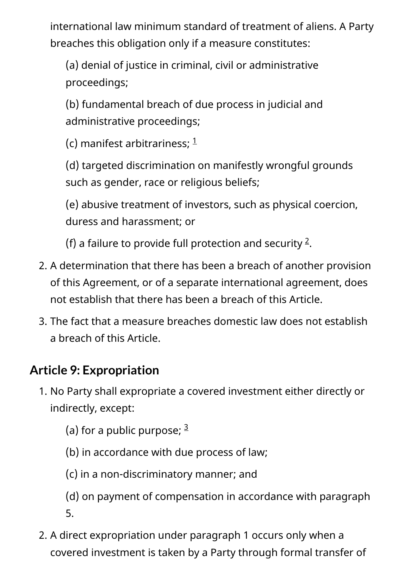international law minimum standard of treatment of aliens. A Party breaches this obligation only if a measure constitutes:

(a) denial of justice in criminal, civil or administrative proceedings;

(b) fundamental breach of due process in judicial and administrative proceedings;

(c) manifest arbitrariness;  $1$ 

(d) targeted discrimination on manifestly wrongful grounds such as gender, race or religious beliefs;

(e) abusive treatment of investors, such as physical coercion, duress and harassment; or

(f) a failure to provide full protection and security  $2$ .

- 2. A determination that there has been a breach of another provision of this Agreement, or of a separate international agreement, does not establish that there has been a breach of this Article.
- 3. The fact that a measure breaches domestic law does not establish a breach of this Article.

#### <span id="page-15-0"></span>**Article 9: Expropriation**

1. No Party shall expropriate a covered investment either directly or indirectly, except:

(a) for a public purpose;  $^{\underline{3}}$  $^{\underline{3}}$  $^{\underline{3}}$ 

- (b) in accordance with due process of law;
- (c) in a non-discriminatory manner; and

(d) on payment of compensation in accordance with paragraph 5.

2. A direct expropriation under paragraph 1 occurs only when a covered investment is taken by a Party through formal transfer of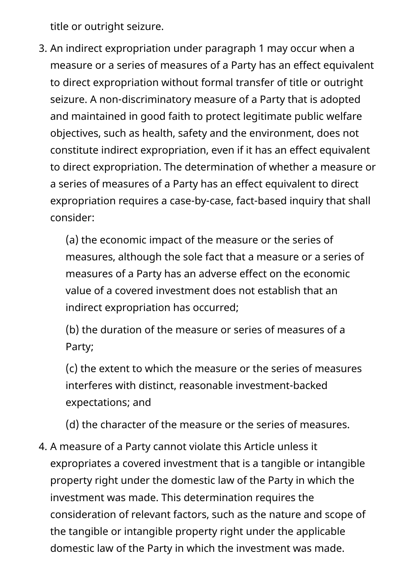title or outright seizure.

3. An indirect expropriation under paragraph 1 may occur when a measure or a series of measures of a Party has an effect equivalent to direct expropriation without formal transfer of title or outright seizure. A non-discriminatory measure of a Party that is adopted and maintained in good faith to protect legitimate public welfare objectives, such as health, safety and the environment, does not constitute indirect expropriation, even if it has an effect equivalent to direct expropriation. The determination of whether a measure or a series of measures of a Party has an effect equivalent to direct expropriation requires a case-by-case, fact-based inquiry that shall consider:

(a) the economic impact of the measure or the series of measures, although the sole fact that a measure or a series of measures of a Party has an adverse effect on the economic value of a covered investment does not establish that an indirect expropriation has occurred;

(b) the duration of the measure or series of measures of a Party;

(c) the extent to which the measure or the series of measures interferes with distinct, reasonable investment-backed expectations; and

(d) the character of the measure or the series of measures.

4. A measure of a Party cannot violate this Article unless it expropriates a covered investment that is a tangible or intangible property right under the domestic law of the Party in which the investment was made. This determination requires the consideration of relevant factors, such as the nature and scope of the tangible or intangible property right under the applicable domestic law of the Party in which the investment was made.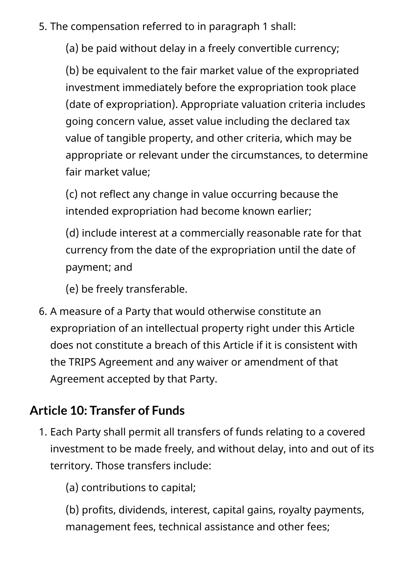5. The compensation referred to in paragraph 1 shall:

(a) be paid without delay in a freely convertible currency;

(b) be equivalent to the fair market value of the expropriated investment immediately before the expropriation took place (date of expropriation). Appropriate valuation criteria includes going concern value, asset value including the declared tax value of tangible property, and other criteria, which may be appropriate or relevant under the circumstances, to determine fair market value;

(c) not reflect any change in value occurring because the intended expropriation had become known earlier;

(d) include interest at a commercially reasonable rate for that currency from the date of the expropriation until the date of payment; and

(e) be freely transferable.

6. A measure of a Party that would otherwise constitute an expropriation of an intellectual property right under this Article does not constitute a breach of this Article if it is consistent with the TRIPS Agreement and any waiver or amendment of that Agreement accepted by that Party.

#### <span id="page-17-0"></span>**Article 10: Transfer of Funds**

1. Each Party shall permit all transfers of funds relating to a covered investment to be made freely, and without delay, into and out of its territory. Those transfers include:

(a) contributions to capital;

(b) profits, dividends, interest, capital gains, royalty payments, management fees, technical assistance and other fees;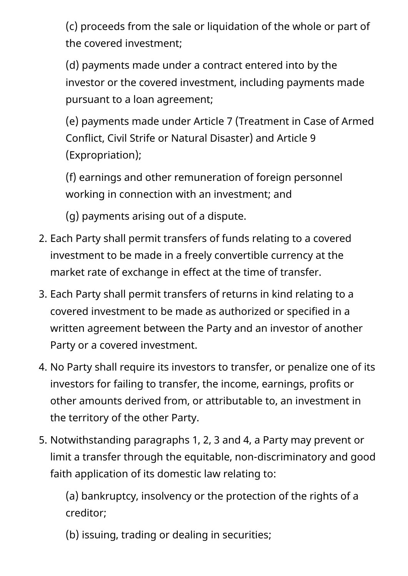(c) proceeds from the sale or liquidation of the whole or part of the covered investment;

(d) payments made under a contract entered into by the investor or the covered investment, including payments made pursuant to a loan agreement;

(e) payments made under Article 7 (Treatment in Case of Armed Conflict, Civil Strife or Natural Disaster) and Article 9 (Expropriation);

(f) earnings and other remuneration of foreign personnel working in connection with an investment; and

(g) payments arising out of a dispute.

- 2. Each Party shall permit transfers of funds relating to a covered investment to be made in a freely convertible currency at the market rate of exchange in effect at the time of transfer.
- 3. Each Party shall permit transfers of returns in kind relating to a covered investment to be made as authorized or specified in a written agreement between the Party and an investor of another Party or a covered investment.
- 4. No Party shall require its investors to transfer, or penalize one of its investors for failing to transfer, the income, earnings, profits or other amounts derived from, or attributable to, an investment in the territory of the other Party.
- 5. Notwithstanding paragraphs 1, 2, 3 and 4, a Party may prevent or limit a transfer through the equitable, non-discriminatory and good faith application of its domestic law relating to:

(a) bankruptcy, insolvency or the protection of the rights of a creditor;

(b) issuing, trading or dealing in securities;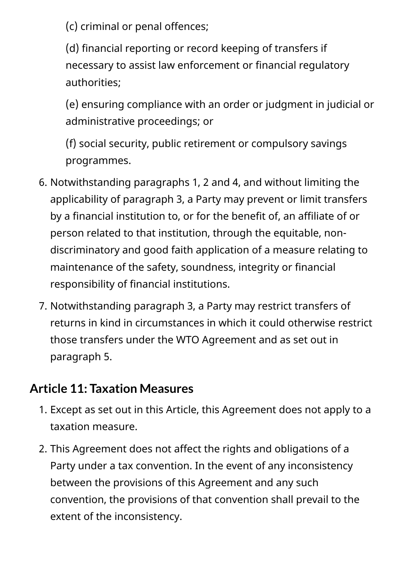(c) criminal or penal offences;

(d) financial reporting or record keeping of transfers if necessary to assist law enforcement or financial regulatory authorities;

(e) ensuring compliance with an order or judgment in judicial or administrative proceedings; or

(f) social security, public retirement or compulsory savings programmes.

- 6. Notwithstanding paragraphs 1, 2 and 4, and without limiting the applicability of paragraph 3, a Party may prevent or limit transfers by a financial institution to, or for the benefit of, an affiliate of or person related to that institution, through the equitable, nondiscriminatory and good faith application of a measure relating to maintenance of the safety, soundness, integrity or financial responsibility of financial institutions.
- 7. Notwithstanding paragraph 3, a Party may restrict transfers of returns in kind in circumstances in which it could otherwise restrict those transfers under the WTO Agreement and as set out in paragraph 5.

#### <span id="page-19-0"></span>**Article 11: Taxation Measures**

- 1. Except as set out in this Article, this Agreement does not apply to a taxation measure.
- 2. This Agreement does not affect the rights and obligations of a Party under a tax convention. In the event of any inconsistency between the provisions of this Agreement and any such convention, the provisions of that convention shall prevail to the extent of the inconsistency.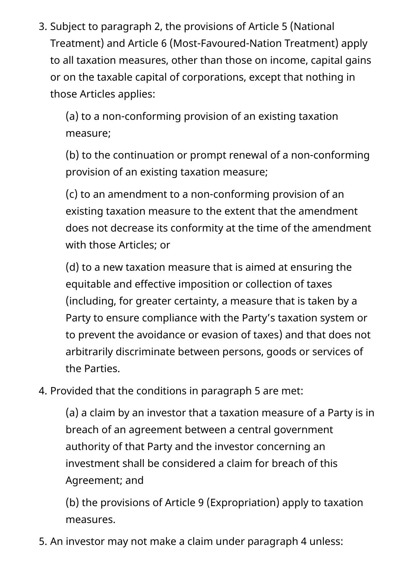3. Subject to paragraph 2, the provisions of Article 5 (National Treatment) and Article 6 (Most-Favoured-Nation Treatment) apply to all taxation measures, other than those on income, capital gains or on the taxable capital of corporations, except that nothing in those Articles applies:

(a) to a non-conforming provision of an existing taxation measure;

(b) to the continuation or prompt renewal of a non-conforming provision of an existing taxation measure;

(c) to an amendment to a non-conforming provision of an existing taxation measure to the extent that the amendment does not decrease its conformity at the time of the amendment with those Articles; or

(d) to a new taxation measure that is aimed at ensuring the equitable and effective imposition or collection of taxes (including, for greater certainty, a measure that is taken by a Party to ensure compliance with the Party's taxation system or to prevent the avoidance or evasion of taxes) and that does not arbitrarily discriminate between persons, goods or services of the Parties.

4. Provided that the conditions in paragraph 5 are met:

(a) a claim by an investor that a taxation measure of a Party is in breach of an agreement between a central government authority of that Party and the investor concerning an investment shall be considered a claim for breach of this Agreement; and

(b) the provisions of Article 9 (Expropriation) apply to taxation measures.

5. An investor may not make a claim under paragraph 4 unless: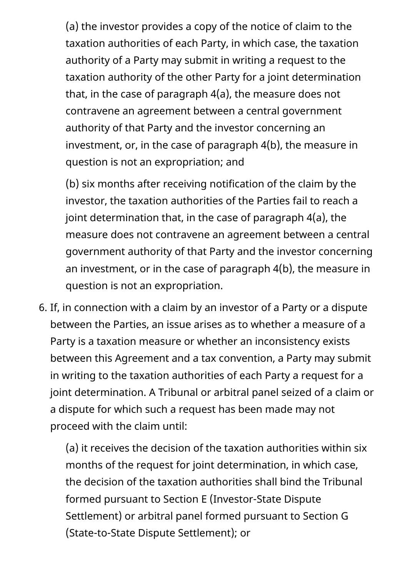(a) the investor provides a copy of the notice of claim to the taxation authorities of each Party, in which case, the taxation authority of a Party may submit in writing a request to the taxation authority of the other Party for a joint determination that, in the case of paragraph 4(a), the measure does not contravene an agreement between a central government authority of that Party and the investor concerning an investment, or, in the case of paragraph 4(b), the measure in question is not an expropriation; and

(b) six months after receiving notification of the claim by the investor, the taxation authorities of the Parties fail to reach a joint determination that, in the case of paragraph 4(a), the measure does not contravene an agreement between a central government authority of that Party and the investor concerning an investment, or in the case of paragraph 4(b), the measure in question is not an expropriation.

6. If, in connection with a claim by an investor of a Party or a dispute between the Parties, an issue arises as to whether a measure of a Party is a taxation measure or whether an inconsistency exists between this Agreement and a tax convention, a Party may submit in writing to the taxation authorities of each Party a request for a joint determination. A Tribunal or arbitral panel seized of a claim or a dispute for which such a request has been made may not proceed with the claim until:

(a) it receives the decision of the taxation authorities within six months of the request for joint determination, in which case, the decision of the taxation authorities shall bind the Tribunal formed pursuant to Section E (Investor-State Dispute Settlement) or arbitral panel formed pursuant to Section G (State-to-State Dispute Settlement); or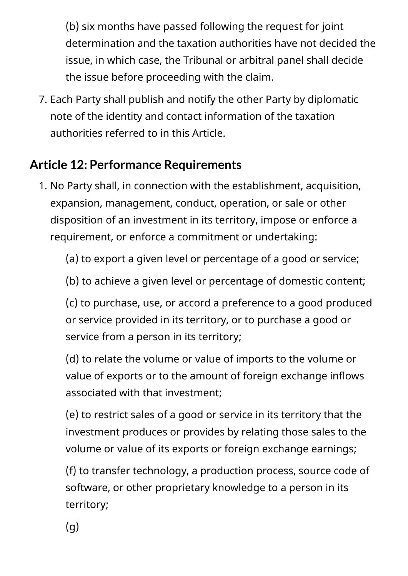(b) six months have passed following the request for joint determination and the taxation authorities have not decided the issue, in which case, the Tribunal or arbitral panel shall decide the issue before proceeding with the claim.

7. Each Party shall publish and notify the other Party by diplomatic note of the identity and contact information of the taxation authorities referred to in this Article.

### <span id="page-22-0"></span>**Article 12: Performance Requirements**

1. No Party shall, in connection with the establishment, acquisition, expansion, management, conduct, operation, or sale or other disposition of an investment in its territory, impose or enforce a requirement, or enforce a commitment or undertaking:

(a) to export a given level or percentage of a good or service;

(b) to achieve a given level or percentage of domestic content;

(c) to purchase, use, or accord a preference to a good produced or service provided in its territory, or to purchase a good or service from a person in its territory;

(d) to relate the volume or value of imports to the volume or value of exports or to the amount of foreign exchange inflows associated with that investment;

(e) to restrict sales of a good or service in its territory that the investment produces or provides by relating those sales to the volume or value of its exports or foreign exchange earnings;

(f) to transfer technology, a production process, source code of software, or other proprietary knowledge to a person in its territory;

(g)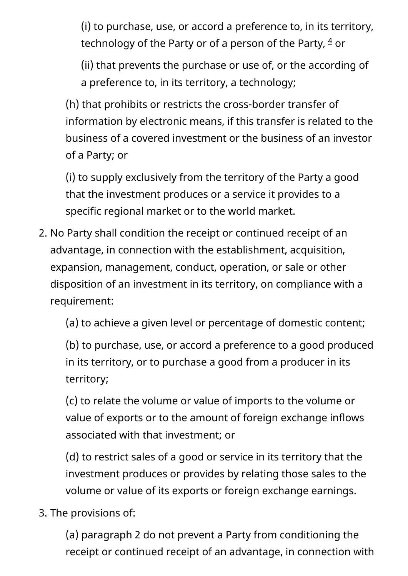(i) to purchase, use, or accord a preference to, in its territory, technology of the Party or of a person of the Party,  $\frac{4}{ }$  $\frac{4}{ }$  $\frac{4}{ }$  or

(ii) that prevents the purchase or use of, or the according of a preference to, in its territory, a technology;

(h) that prohibits or restricts the cross-border transfer of information by electronic means, if this transfer is related to the business of a covered investment or the business of an investor of a Party; or

(i) to supply exclusively from the territory of the Party a good that the investment produces or a service it provides to a specific regional market or to the world market.

2. No Party shall condition the receipt or continued receipt of an advantage, in connection with the establishment, acquisition, expansion, management, conduct, operation, or sale or other disposition of an investment in its territory, on compliance with a requirement:

(a) to achieve a given level or percentage of domestic content;

(b) to purchase, use, or accord a preference to a good produced in its territory, or to purchase a good from a producer in its territory;

(c) to relate the volume or value of imports to the volume or value of exports or to the amount of foreign exchange inflows associated with that investment; or

(d) to restrict sales of a good or service in its territory that the investment produces or provides by relating those sales to the volume or value of its exports or foreign exchange earnings.

3. The provisions of:

(a) paragraph 2 do not prevent a Party from conditioning the receipt or continued receipt of an advantage, in connection with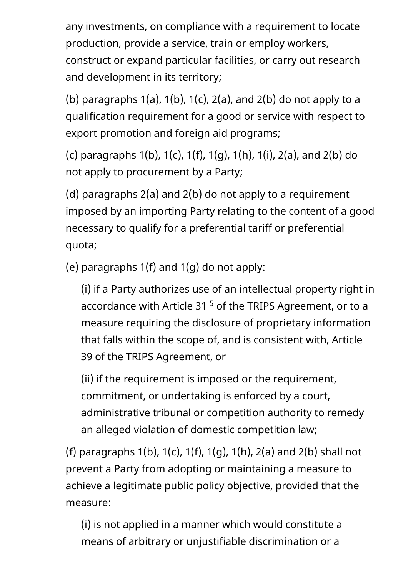any investments, on compliance with a requirement to locate production, provide a service, train or employ workers, construct or expand particular facilities, or carry out research and development in its territory;

(b) paragraphs  $1(a)$ ,  $1(b)$ ,  $1(c)$ ,  $2(a)$ , and  $2(b)$  do not apply to a qualification requirement for a good or service with respect to export promotion and foreign aid programs;

(c) paragraphs 1(b), 1(c), 1(f), 1(g), 1(h), 1(i), 2(a), and 2(b) do not apply to procurement by a Party;

(d) paragraphs 2(a) and 2(b) do not apply to a requirement imposed by an importing Party relating to the content of a good necessary to qualify for a preferential tariff or preferential quota;

(e) paragraphs 1(f) and 1(g) do not apply:

(i) if a Party authorizes use of an intellectual property right in accordance with Article 31  $5$  of the TRIPS Agreement, or to a measure requiring the disclosure of proprietary information that falls within the scope of, and is consistent with, Article 39 of the TRIPS Agreement, or

(ii) if the requirement is imposed or the requirement, commitment, or undertaking is enforced by a court, administrative tribunal or competition authority to remedy an alleged violation of domestic competition law;

(f) paragraphs 1(b), 1(c), 1(f), 1(g), 1(h), 2(a) and 2(b) shall not prevent a Party from adopting or maintaining a measure to achieve a legitimate public policy objective, provided that the measure:

(i) is not applied in a manner which would constitute a means of arbitrary or unjustifiable discrimination or a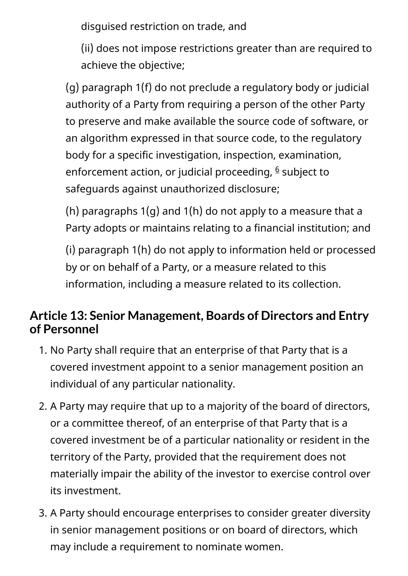disguised restriction on trade, and

(ii) does not impose restrictions greater than are required to achieve the objective;

(g) paragraph 1(f) do not preclude a regulatory body or judicial authority of a Party from requiring a person of the other Party to preserve and make available the source code of software, or an algorithm expressed in that source code, to the regulatory body for a specific investigation, inspection, examination, enforcement action, or judicial proceeding, <sup><u>[6](#page-82-2)</u> subject to</sup> safeguards against unauthorized disclosure;

(h) paragraphs 1(g) and 1(h) do not apply to a measure that a Party adopts or maintains relating to a financial institution; and

(i) paragraph 1(h) do not apply to information held or processed by or on behalf of a Party, or a measure related to this information, including a measure related to its collection.

#### <span id="page-25-0"></span>**Article 13: Senior Management, Boards of Directors and Entry of Personnel**

- 1. No Party shall require that an enterprise of that Party that is a covered investment appoint to a senior management position an individual of any particular nationality.
- 2. A Party may require that up to a majority of the board of directors, or a committee thereof, of an enterprise of that Party that is a covered investment be of a particular nationality or resident in the territory of the Party, provided that the requirement does not materially impair the ability of the investor to exercise control over its investment.
- 3. A Party should encourage enterprises to consider greater diversity in senior management positions or on board of directors, which may include a requirement to nominate women.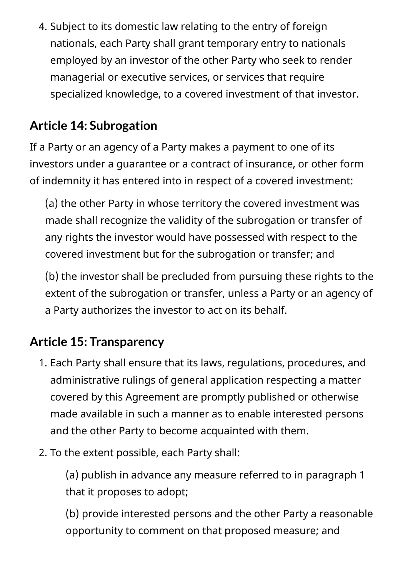4. Subject to its domestic law relating to the entry of foreign nationals, each Party shall grant temporary entry to nationals employed by an investor of the other Party who seek to render managerial or executive services, or services that require specialized knowledge, to a covered investment of that investor.

### <span id="page-26-0"></span>**Article 14: Subrogation**

If a Party or an agency of a Party makes a payment to one of its investors under a guarantee or a contract of insurance, or other form of indemnity it has entered into in respect of a covered investment:

(a) the other Party in whose territory the covered investment was made shall recognize the validity of the subrogation or transfer of any rights the investor would have possessed with respect to the covered investment but for the subrogation or transfer; and

(b) the investor shall be precluded from pursuing these rights to the extent of the subrogation or transfer, unless a Party or an agency of a Party authorizes the investor to act on its behalf.

#### <span id="page-26-1"></span>**Article 15: Transparency**

- 1. Each Party shall ensure that its laws, regulations, procedures, and administrative rulings of general application respecting a matter covered by this Agreement are promptly published or otherwise made available in such a manner as to enable interested persons and the other Party to become acquainted with them.
- 2. To the extent possible, each Party shall:

(a) publish in advance any measure referred to in paragraph 1 that it proposes to adopt;

(b) provide interested persons and the other Party a reasonable opportunity to comment on that proposed measure; and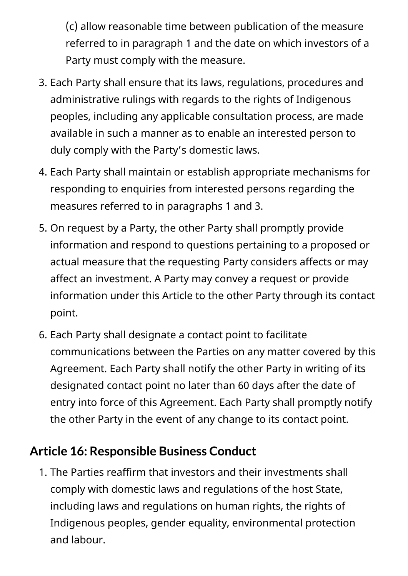(c) allow reasonable time between publication of the measure referred to in paragraph 1 and the date on which investors of a Party must comply with the measure.

- 3. Each Party shall ensure that its laws, regulations, procedures and administrative rulings with regards to the rights of Indigenous peoples, including any applicable consultation process, are made available in such a manner as to enable an interested person to duly comply with the Party's domestic laws.
- 4. Each Party shall maintain or establish appropriate mechanisms for responding to enquiries from interested persons regarding the measures referred to in paragraphs 1 and 3.
- 5. On request by a Party, the other Party shall promptly provide information and respond to questions pertaining to a proposed or actual measure that the requesting Party considers affects or may affect an investment. A Party may convey a request or provide information under this Article to the other Party through its contact point.
- 6. Each Party shall designate a contact point to facilitate communications between the Parties on any matter covered by this Agreement. Each Party shall notify the other Party in writing of its designated contact point no later than 60 days after the date of entry into force of this Agreement. Each Party shall promptly notify the other Party in the event of any change to its contact point.

#### <span id="page-27-0"></span>**Article 16: Responsible Business Conduct**

1. The Parties reaffirm that investors and their investments shall comply with domestic laws and regulations of the host State, including laws and regulations on human rights, the rights of Indigenous peoples, gender equality, environmental protection and labour.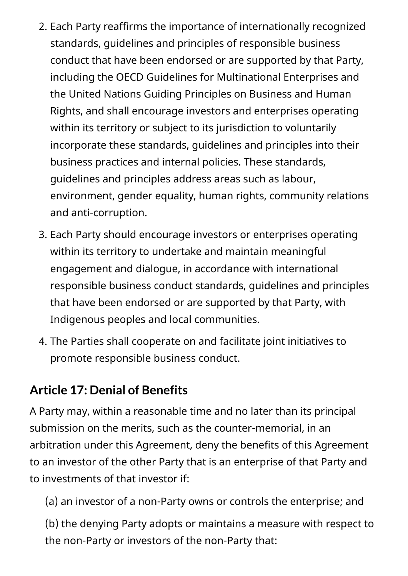- 2. Each Party reaffirms the importance of internationally recognized standards, guidelines and principles of responsible business conduct that have been endorsed or are supported by that Party, including the OECD Guidelines for Multinational Enterprises and the United Nations Guiding Principles on Business and Human Rights, and shall encourage investors and enterprises operating within its territory or subject to its jurisdiction to voluntarily incorporate these standards, guidelines and principles into their business practices and internal policies. These standards, guidelines and principles address areas such as labour, environment, gender equality, human rights, community relations and anti-corruption.
- 3. Each Party should encourage investors or enterprises operating within its territory to undertake and maintain meaningful engagement and dialogue, in accordance with international responsible business conduct standards, guidelines and principles that have been endorsed or are supported by that Party, with Indigenous peoples and local communities.
- 4. The Parties shall cooperate on and facilitate joint initiatives to promote responsible business conduct.

#### <span id="page-28-0"></span>**Article 17: Denial of Benefits**

A Party may, within a reasonable time and no later than its principal submission on the merits, such as the counter-memorial, in an arbitration under this Agreement, deny the benefits of this Agreement to an investor of the other Party that is an enterprise of that Party and to investments of that investor if:

(a) an investor of a non-Party owns or controls the enterprise; and

(b) the denying Party adopts or maintains a measure with respect to the non-Party or investors of the non-Party that: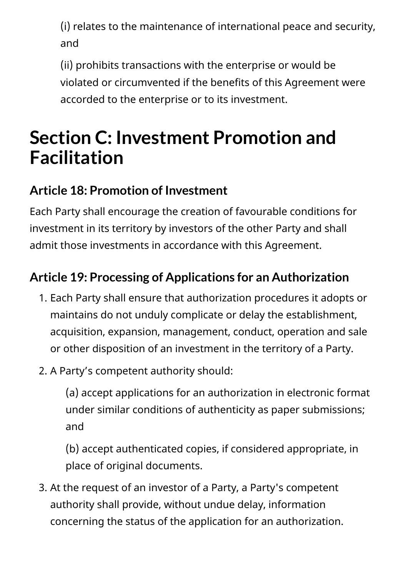(i) relates to the maintenance of international peace and security, and

(ii) prohibits transactions with the enterprise or would be violated or circumvented if the benefits of this Agreement were accorded to the enterprise or to its investment.

## <span id="page-29-0"></span>**Section C: Investment Promotion and Facilitation**

### <span id="page-29-1"></span>**Article 18: Promotion of Investment**

Each Party shall encourage the creation of favourable conditions for investment in its territory by investors of the other Party and shall admit those investments in accordance with this Agreement.

### <span id="page-29-2"></span>**Article 19: Processing of Applications for an Authorization**

- 1. Each Party shall ensure that authorization procedures it adopts or maintains do not unduly complicate or delay the establishment, acquisition, expansion, management, conduct, operation and sale or other disposition of an investment in the territory of a Party.
- 2. A Party's competent authority should:

(a) accept applications for an authorization in electronic format under similar conditions of authenticity as paper submissions; and

(b) accept authenticated copies, if considered appropriate, in place of original documents.

3. At the request of an investor of a Party, a Party's competent authority shall provide, without undue delay, information concerning the status of the application for an authorization.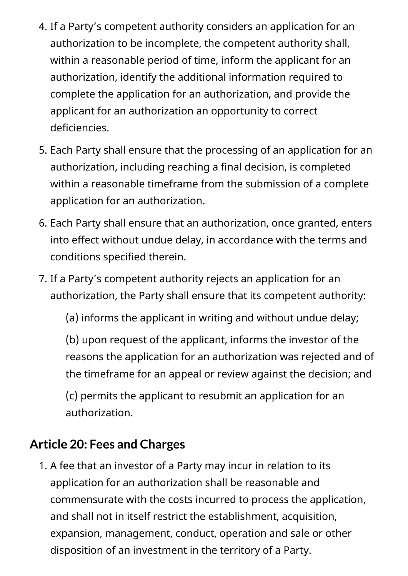- 4. If a Party's competent authority considers an application for an authorization to be incomplete, the competent authority shall, within a reasonable period of time, inform the applicant for an authorization, identify the additional information required to complete the application for an authorization, and provide the applicant for an authorization an opportunity to correct deficiencies.
- 5. Each Party shall ensure that the processing of an application for an authorization, including reaching a final decision, is completed within a reasonable timeframe from the submission of a complete application for an authorization.
- 6. Each Party shall ensure that an authorization, once granted, enters into effect without undue delay, in accordance with the terms and conditions specified therein.
- 7. If a Party's competent authority rejects an application for an authorization, the Party shall ensure that its competent authority:

(a) informs the applicant in writing and without undue delay;

(b) upon request of the applicant, informs the investor of the reasons the application for an authorization was rejected and of the timeframe for an appeal or review against the decision; and

(c) permits the applicant to resubmit an application for an authorization.

#### <span id="page-30-0"></span>**Article 20: Fees and Charges**

1. A fee that an investor of a Party may incur in relation to its application for an authorization shall be reasonable and commensurate with the costs incurred to process the application, and shall not in itself restrict the establishment, acquisition, expansion, management, conduct, operation and sale or other disposition of an investment in the territory of a Party.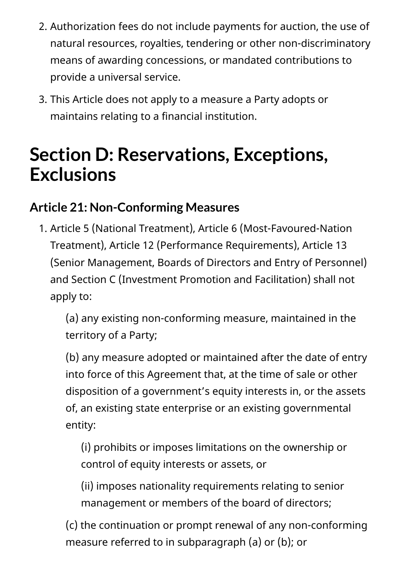- 2. Authorization fees do not include payments for auction, the use of natural resources, royalties, tendering or other non-discriminatory means of awarding concessions, or mandated contributions to provide a universal service.
- 3. This Article does not apply to a measure a Party adopts or maintains relating to a financial institution.

## <span id="page-31-0"></span>**Section D: Reservations, Exceptions, Exclusions**

#### <span id="page-31-1"></span>**Article 21: Non-Conforming Measures**

1. Article 5 (National Treatment), Article 6 (Most-Favoured-Nation Treatment), Article 12 (Performance Requirements), Article 13 (Senior Management, Boards of Directors and Entry of Personnel) and Section C (Investment Promotion and Facilitation) shall not apply to:

(a) any existing non-conforming measure, maintained in the territory of a Party;

(b) any measure adopted or maintained after the date of entry into force of this Agreement that, at the time of sale or other disposition of a government's equity interests in, or the assets of, an existing state enterprise or an existing governmental entity:

(i) prohibits or imposes limitations on the ownership or control of equity interests or assets, or

(ii) imposes nationality requirements relating to senior management or members of the board of directors;

(c) the continuation or prompt renewal of any non-conforming measure referred to in subparagraph (a) or (b); or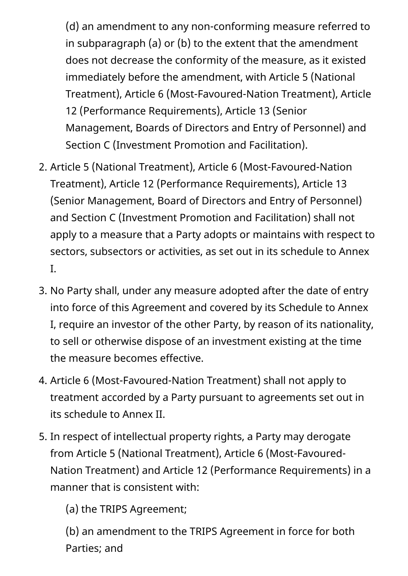(d) an amendment to any non-conforming measure referred to in subparagraph (a) or (b) to the extent that the amendment does not decrease the conformity of the measure, as it existed immediately before the amendment, with Article 5 (National Treatment), Article 6 (Most-Favoured-Nation Treatment), Article 12 (Performance Requirements), Article 13 (Senior Management, Boards of Directors and Entry of Personnel) and Section C (Investment Promotion and Facilitation).

- 2. Article 5 (National Treatment), Article 6 (Most-Favoured-Nation Treatment), Article 12 (Performance Requirements), Article 13 (Senior Management, Board of Directors and Entry of Personnel) and Section C (Investment Promotion and Facilitation) shall not apply to a measure that a Party adopts or maintains with respect to sectors, subsectors or activities, as set out in its schedule to Annex I.
- 3. No Party shall, under any measure adopted after the date of entry into force of this Agreement and covered by its Schedule to Annex I, require an investor of the other Party, by reason of its nationality, to sell or otherwise dispose of an investment existing at the time the measure becomes effective.
- 4. Article 6 (Most-Favoured-Nation Treatment) shall not apply to treatment accorded by a Party pursuant to agreements set out in its schedule to Annex II.
- 5. In respect of intellectual property rights, a Party may derogate from Article 5 (National Treatment), Article 6 (Most-Favoured-Nation Treatment) and Article 12 (Performance Requirements) in a manner that is consistent with:

(a) the TRIPS Agreement;

(b) an amendment to the TRIPS Agreement in force for both Parties; and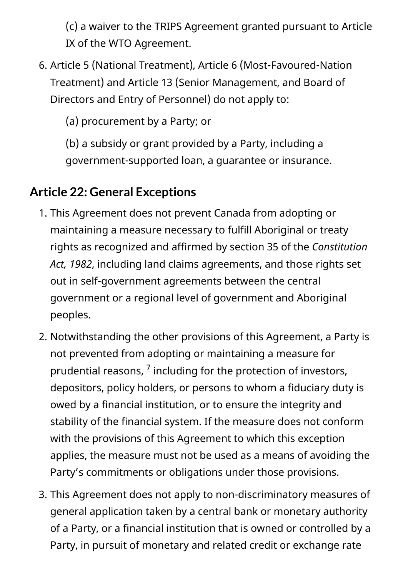(c) a waiver to the TRIPS Agreement granted pursuant to Article IX of the WTO Agreement.

6. Article 5 (National Treatment), Article 6 (Most-Favoured-Nation Treatment) and Article 13 (Senior Management, and Board of Directors and Entry of Personnel) do not apply to:

(a) procurement by a Party; or

(b) a subsidy or grant provided by a Party, including a government-supported loan, a guarantee or insurance.

#### <span id="page-33-0"></span>**Article 22: General Exceptions**

- 1. This Agreement does not prevent Canada from adopting or maintaining a measure necessary to fulfill Aboriginal or treaty rights as recognized and affirmed by section 35 of the *Constitution Act, 1982*, including land claims agreements, and those rights set out in self-government agreements between the central government or a regional level of government and Aboriginal peoples.
- 2. Notwithstanding the other provisions of this Agreement, a Party is not prevented from adopting or maintaining a measure for prudential reasons,  $^2$  including for the protection of investors, depositors, policy holders, or persons to whom a fiduciary duty is owed by a financial institution, or to ensure the integrity and stability of the financial system. If the measure does not conform with the provisions of this Agreement to which this exception applies, the measure must not be used as a means of avoiding the Party's commitments or obligations under those provisions.
- 3. This Agreement does not apply to non-discriminatory measures of general application taken by a central bank or monetary authority of a Party, or a financial institution that is owned or controlled by a Party, in pursuit of monetary and related credit or exchange rate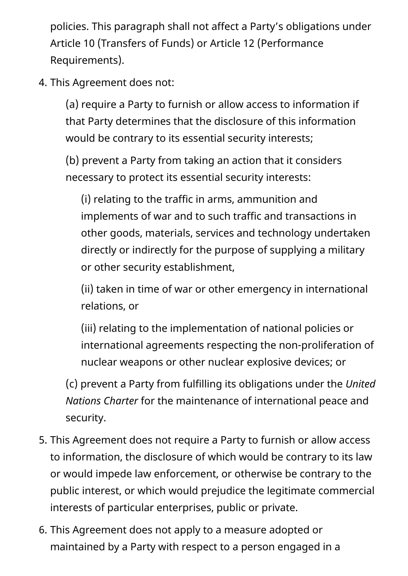policies. This paragraph shall not affect a Party's obligations under Article 10 (Transfers of Funds) or Article 12 (Performance Requirements).

4. This Agreement does not:

(a) require a Party to furnish or allow access to information if that Party determines that the disclosure of this information would be contrary to its essential security interests;

(b) prevent a Party from taking an action that it considers necessary to protect its essential security interests:

(i) relating to the traffic in arms, ammunition and implements of war and to such traffic and transactions in other goods, materials, services and technology undertaken directly or indirectly for the purpose of supplying a military or other security establishment,

(ii) taken in time of war or other emergency in international relations, or

(iii) relating to the implementation of national policies or international agreements respecting the non-proliferation of nuclear weapons or other nuclear explosive devices; or

(c) prevent a Party from fulfilling its obligations under the *United Nations Charter* for the maintenance of international peace and security.

- 5. This Agreement does not require a Party to furnish or allow access to information, the disclosure of which would be contrary to its law or would impede law enforcement, or otherwise be contrary to the public interest, or which would prejudice the legitimate commercial interests of particular enterprises, public or private.
- 6. This Agreement does not apply to a measure adopted or maintained by a Party with respect to a person engaged in a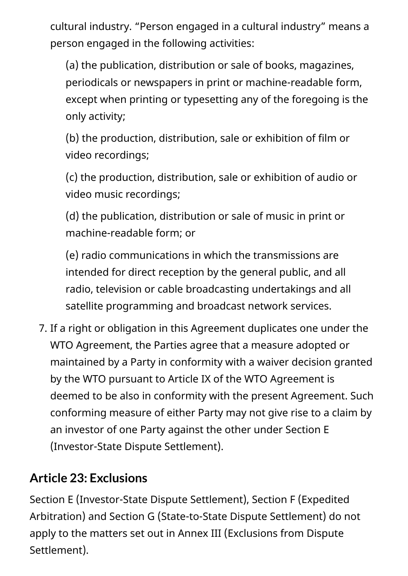cultural industry. "Person engaged in a cultural industry" means a person engaged in the following activities:

(a) the publication, distribution or sale of books, magazines, periodicals or newspapers in print or machine-readable form, except when printing or typesetting any of the foregoing is the only activity;

(b) the production, distribution, sale or exhibition of film or video recordings;

(c) the production, distribution, sale or exhibition of audio or video music recordings;

(d) the publication, distribution or sale of music in print or machine-readable form; or

(e) radio communications in which the transmissions are intended for direct reception by the general public, and all radio, television or cable broadcasting undertakings and all satellite programming and broadcast network services.

7. If a right or obligation in this Agreement duplicates one under the WTO Agreement, the Parties agree that a measure adopted or maintained by a Party in conformity with a waiver decision granted by the WTO pursuant to Article IX of the WTO Agreement is deemed to be also in conformity with the present Agreement. Such conforming measure of either Party may not give rise to a claim by an investor of one Party against the other under Section E (Investor-State Dispute Settlement).

#### <span id="page-35-0"></span>**Article 23: Exclusions**

Section E (Investor-State Dispute Settlement), Section F (Expedited Arbitration) and Section G (State-to-State Dispute Settlement) do not apply to the matters set out in Annex III (Exclusions from Dispute Settlement).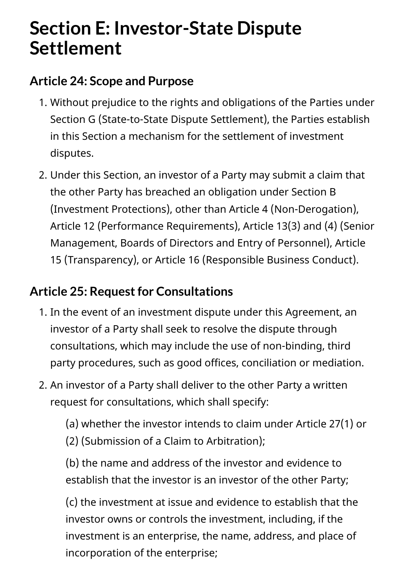# **Section E: Investor-State Dispute Settlement**

#### **Article 24: Scope and Purpose**

- 1. Without prejudice to the rights and obligations of the Parties under Section G (State-to-State Dispute Settlement), the Parties establish in this Section a mechanism for the settlement of investment disputes.
- 2. Under this Section, an investor of a Party may submit a claim that the other Party has breached an obligation under Section B (Investment Protections), other than Article 4 (Non-Derogation), Article 12 (Performance Requirements), Article 13(3) and (4) (Senior Management, Boards of Directors and Entry of Personnel), Article 15 (Transparency), or Article 16 (Responsible Business Conduct).

#### **Article 25: Request for Consultations**

- 1. In the event of an investment dispute under this Agreement, an investor of a Party shall seek to resolve the dispute through consultations, which may include the use of non-binding, third party procedures, such as good offices, conciliation or mediation.
- 2. An investor of a Party shall deliver to the other Party a written request for consultations, which shall specify:

(a) whether the investor intends to claim under Article 27(1) or (2) (Submission of a Claim to Arbitration);

(b) the name and address of the investor and evidence to establish that the investor is an investor of the other Party;

(c) the investment at issue and evidence to establish that the investor owns or controls the investment, including, if the investment is an enterprise, the name, address, and place of incorporation of the enterprise;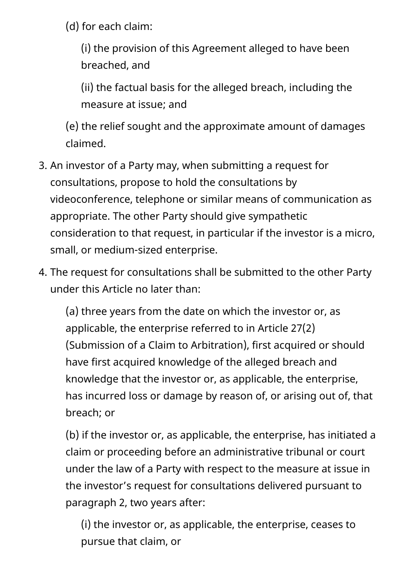(d) for each claim:

(i) the provision of this Agreement alleged to have been breached, and

(ii) the factual basis for the alleged breach, including the measure at issue; and

(e) the relief sought and the approximate amount of damages claimed.

- 3. An investor of a Party may, when submitting a request for consultations, propose to hold the consultations by videoconference, telephone or similar means of communication as appropriate. The other Party should give sympathetic consideration to that request, in particular if the investor is a micro, small, or medium-sized enterprise.
- 4. The request for consultations shall be submitted to the other Party under this Article no later than:

(a) three years from the date on which the investor or, as applicable, the enterprise referred to in Article 27(2) (Submission of a Claim to Arbitration), first acquired or should have first acquired knowledge of the alleged breach and knowledge that the investor or, as applicable, the enterprise, has incurred loss or damage by reason of, or arising out of, that breach; or

(b) if the investor or, as applicable, the enterprise, has initiated a claim or proceeding before an administrative tribunal or court under the law of a Party with respect to the measure at issue in the investor's request for consultations delivered pursuant to paragraph 2, two years after:

(i) the investor or, as applicable, the enterprise, ceases to pursue that claim, or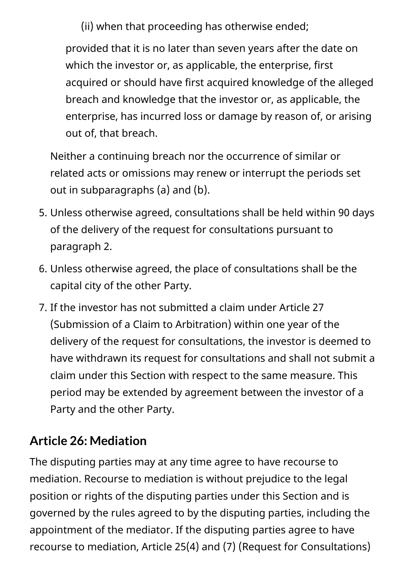(ii) when that proceeding has otherwise ended;

provided that it is no later than seven years after the date on which the investor or, as applicable, the enterprise, first acquired or should have first acquired knowledge of the alleged breach and knowledge that the investor or, as applicable, the enterprise, has incurred loss or damage by reason of, or arising out of, that breach.

Neither a continuing breach nor the occurrence of similar or related acts or omissions may renew or interrupt the periods set out in subparagraphs (a) and (b).

- 5. Unless otherwise agreed, consultations shall be held within 90 days of the delivery of the request for consultations pursuant to paragraph 2.
- 6. Unless otherwise agreed, the place of consultations shall be the capital city of the other Party.
- 7. If the investor has not submitted a claim under Article 27 (Submission of a Claim to Arbitration) within one year of the delivery of the request for consultations, the investor is deemed to have withdrawn its request for consultations and shall not submit a claim under this Section with respect to the same measure. This period may be extended by agreement between the investor of a Party and the other Party.

#### **Article 26: Mediation**

The disputing parties may at any time agree to have recourse to mediation. Recourse to mediation is without prejudice to the legal position or rights of the disputing parties under this Section and is governed by the rules agreed to by the disputing parties, including the appointment of the mediator. If the disputing parties agree to have recourse to mediation, Article 25(4) and (7) (Request for Consultations)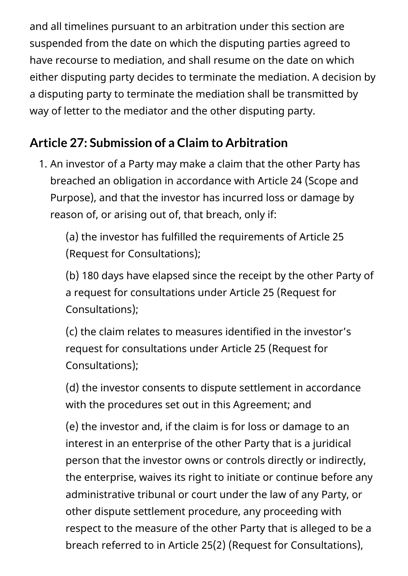and all timelines pursuant to an arbitration under this section are suspended from the date on which the disputing parties agreed to have recourse to mediation, and shall resume on the date on which either disputing party decides to terminate the mediation. A decision by a disputing party to terminate the mediation shall be transmitted by way of letter to the mediator and the other disputing party.

### **Article 27: Submission of a Claim to Arbitration**

1. An investor of a Party may make a claim that the other Party has breached an obligation in accordance with Article 24 (Scope and Purpose), and that the investor has incurred loss or damage by reason of, or arising out of, that breach, only if:

(a) the investor has fulfilled the requirements of Article 25 (Request for Consultations);

(b) 180 days have elapsed since the receipt by the other Party of a request for consultations under Article 25 (Request for Consultations);

(c) the claim relates to measures identified in the investor's request for consultations under Article 25 (Request for Consultations);

(d) the investor consents to dispute settlement in accordance with the procedures set out in this Agreement; and

(e) the investor and, if the claim is for loss or damage to an interest in an enterprise of the other Party that is a juridical person that the investor owns or controls directly or indirectly, the enterprise, waives its right to initiate or continue before any administrative tribunal or court under the law of any Party, or other dispute settlement procedure, any proceeding with respect to the measure of the other Party that is alleged to be a breach referred to in Article 25(2) (Request for Consultations),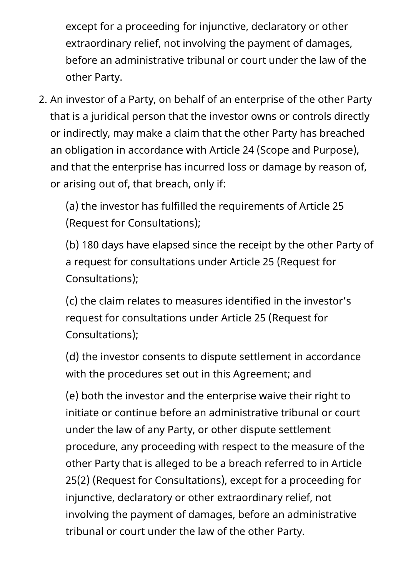except for a proceeding for injunctive, declaratory or other extraordinary relief, not involving the payment of damages, before an administrative tribunal or court under the law of the other Party.

2. An investor of a Party, on behalf of an enterprise of the other Party that is a juridical person that the investor owns or controls directly or indirectly, may make a claim that the other Party has breached an obligation in accordance with Article 24 (Scope and Purpose), and that the enterprise has incurred loss or damage by reason of, or arising out of, that breach, only if:

(a) the investor has fulfilled the requirements of Article 25 (Request for Consultations);

(b) 180 days have elapsed since the receipt by the other Party of a request for consultations under Article 25 (Request for Consultations);

(c) the claim relates to measures identified in the investor's request for consultations under Article 25 (Request for Consultations);

(d) the investor consents to dispute settlement in accordance with the procedures set out in this Agreement; and

(e) both the investor and the enterprise waive their right to initiate or continue before an administrative tribunal or court under the law of any Party, or other dispute settlement procedure, any proceeding with respect to the measure of the other Party that is alleged to be a breach referred to in Article 25(2) (Request for Consultations), except for a proceeding for injunctive, declaratory or other extraordinary relief, not involving the payment of damages, before an administrative tribunal or court under the law of the other Party.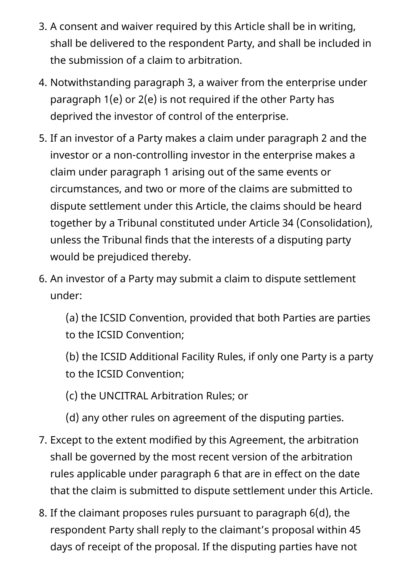- 3. A consent and waiver required by this Article shall be in writing, shall be delivered to the respondent Party, and shall be included in the submission of a claim to arbitration.
- 4. Notwithstanding paragraph 3, a waiver from the enterprise under paragraph 1(e) or 2(e) is not required if the other Party has deprived the investor of control of the enterprise.
- 5. If an investor of a Party makes a claim under paragraph 2 and the investor or a non-controlling investor in the enterprise makes a claim under paragraph 1 arising out of the same events or circumstances, and two or more of the claims are submitted to dispute settlement under this Article, the claims should be heard together by a Tribunal constituted under Article 34 (Consolidation), unless the Tribunal finds that the interests of a disputing party would be prejudiced thereby.
- 6. An investor of a Party may submit a claim to dispute settlement under:

(a) the ICSID Convention, provided that both Parties are parties to the ICSID Convention;

- (b) the ICSID Additional Facility Rules, if only one Party is a party to the ICSID Convention;
- (c) the UNCITRAL Arbitration Rules; or
- (d) any other rules on agreement of the disputing parties.
- 7. Except to the extent modified by this Agreement, the arbitration shall be governed by the most recent version of the arbitration rules applicable under paragraph 6 that are in effect on the date that the claim is submitted to dispute settlement under this Article.
- 8. If the claimant proposes rules pursuant to paragraph 6(d), the respondent Party shall reply to the claimant's proposal within 45 days of receipt of the proposal. If the disputing parties have not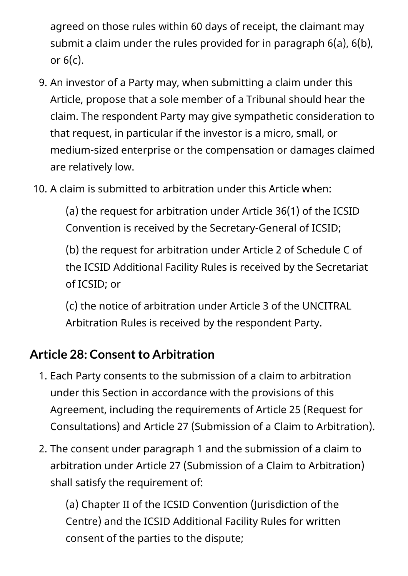agreed on those rules within 60 days of receipt, the claimant may submit a claim under the rules provided for in paragraph 6(a), 6(b), or  $6(c)$ .

- 9. An investor of a Party may, when submitting a claim under this Article, propose that a sole member of a Tribunal should hear the claim. The respondent Party may give sympathetic consideration to that request, in particular if the investor is a micro, small, or medium-sized enterprise or the compensation or damages claimed are relatively low.
- 10. A claim is submitted to arbitration under this Article when:

(a) the request for arbitration under Article 36(1) of the ICSID Convention is received by the Secretary-General of ICSID;

(b) the request for arbitration under Article 2 of Schedule C of the ICSID Additional Facility Rules is received by the Secretariat of ICSID; or

(c) the notice of arbitration under Article 3 of the UNCITRAL Arbitration Rules is received by the respondent Party.

#### **Article 28: Consent to Arbitration**

- 1. Each Party consents to the submission of a claim to arbitration under this Section in accordance with the provisions of this Agreement, including the requirements of Article 25 (Request for Consultations) and Article 27 (Submission of a Claim to Arbitration).
- 2. The consent under paragraph 1 and the submission of a claim to arbitration under Article 27 (Submission of a Claim to Arbitration) shall satisfy the requirement of:

(a) Chapter II of the ICSID Convention (Jurisdiction of the Centre) and the ICSID Additional Facility Rules for written consent of the parties to the dispute;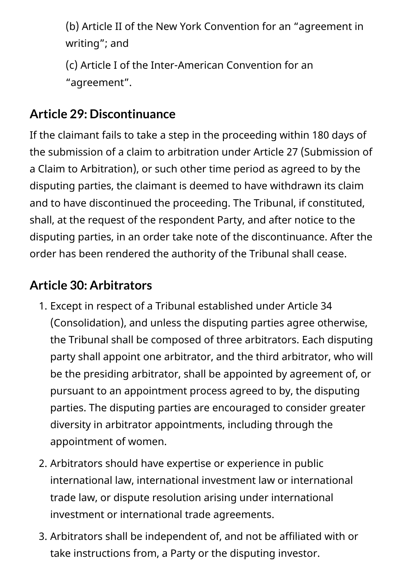(b) Article II of the New York Convention for an "agreement in writing"; and

(c) Article I of the Inter-American Convention for an "agreement".

#### **Article 29: Discontinuance**

If the claimant fails to take a step in the proceeding within 180 days of the submission of a claim to arbitration under Article 27 (Submission of a Claim to Arbitration), or such other time period as agreed to by the disputing parties, the claimant is deemed to have withdrawn its claim and to have discontinued the proceeding. The Tribunal, if constituted, shall, at the request of the respondent Party, and after notice to the disputing parties, in an order take note of the discontinuance. After the order has been rendered the authority of the Tribunal shall cease.

#### **Article 30: Arbitrators**

- 1. Except in respect of a Tribunal established under Article 34 (Consolidation), and unless the disputing parties agree otherwise, the Tribunal shall be composed of three arbitrators. Each disputing party shall appoint one arbitrator, and the third arbitrator, who will be the presiding arbitrator, shall be appointed by agreement of, or pursuant to an appointment process agreed to by, the disputing parties. The disputing parties are encouraged to consider greater diversity in arbitrator appointments, including through the appointment of women.
- 2. Arbitrators should have expertise or experience in public international law, international investment law or international trade law, or dispute resolution arising under international investment or international trade agreements.
- 3. Arbitrators shall be independent of, and not be affiliated with or take instructions from, a Party or the disputing investor.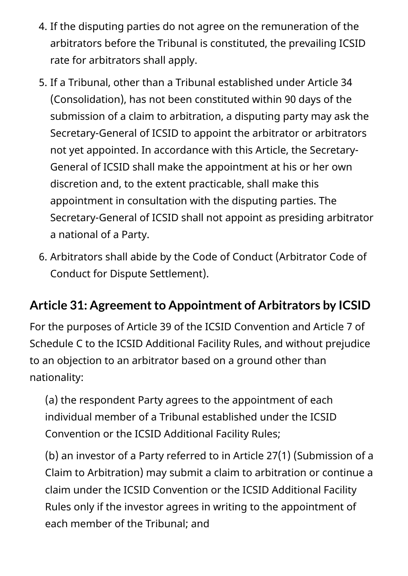- 4. If the disputing parties do not agree on the remuneration of the arbitrators before the Tribunal is constituted, the prevailing ICSID rate for arbitrators shall apply.
- 5. If a Tribunal, other than a Tribunal established under Article 34 (Consolidation), has not been constituted within 90 days of the submission of a claim to arbitration, a disputing party may ask the Secretary-General of ICSID to appoint the arbitrator or arbitrators not yet appointed. In accordance with this Article, the Secretary-General of ICSID shall make the appointment at his or her own discretion and, to the extent practicable, shall make this appointment in consultation with the disputing parties. The Secretary-General of ICSID shall not appoint as presiding arbitrator a national of a Party.
- 6. Arbitrators shall abide by the Code of Conduct (Arbitrator Code of Conduct for Dispute Settlement).

#### **Article 31: Agreement to Appointment of Arbitrators by ICSID**

For the purposes of Article 39 of the ICSID Convention and Article 7 of Schedule C to the ICSID Additional Facility Rules, and without prejudice to an objection to an arbitrator based on a ground other than nationality:

(a) the respondent Party agrees to the appointment of each individual member of a Tribunal established under the ICSID Convention or the ICSID Additional Facility Rules;

(b) an investor of a Party referred to in Article 27(1) (Submission of a Claim to Arbitration) may submit a claim to arbitration or continue a claim under the ICSID Convention or the ICSID Additional Facility Rules only if the investor agrees in writing to the appointment of each member of the Tribunal; and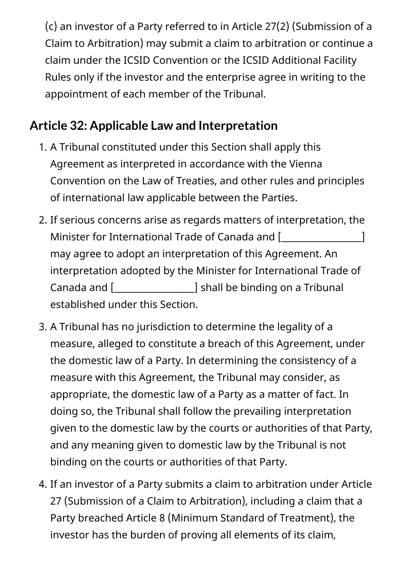(c) an investor of a Party referred to in Article 27(2) (Submission of a Claim to Arbitration) may submit a claim to arbitration or continue a claim under the ICSID Convention or the ICSID Additional Facility Rules only if the investor and the enterprise agree in writing to the appointment of each member of the Tribunal.

### **Article 32: Applicable Law and Interpretation**

- 1. A Tribunal constituted under this Section shall apply this Agreement as interpreted in accordance with the Vienna Convention on the Law of Treaties, and other rules and principles of international law applicable between the Parties.
- 2. If serious concerns arise as regards matters of interpretation, the Minister for International Trade of Canada and [window controlled and  $\lceil$ may agree to adopt an interpretation of this Agreement. An interpretation adopted by the Minister for International Trade of Canada and [\_\_\_\_\_\_\_\_\_\_\_\_\_\_\_\_\_\_\_] shall be binding on a Tribunal established under this Section.
- 3. A Tribunal has no jurisdiction to determine the legality of a measure, alleged to constitute a breach of this Agreement, under the domestic law of a Party. In determining the consistency of a measure with this Agreement, the Tribunal may consider, as appropriate, the domestic law of a Party as a matter of fact. In doing so, the Tribunal shall follow the prevailing interpretation given to the domestic law by the courts or authorities of that Party, and any meaning given to domestic law by the Tribunal is not binding on the courts or authorities of that Party.
- 4. If an investor of a Party submits a claim to arbitration under Article 27 (Submission of a Claim to Arbitration), including a claim that a Party breached Article 8 (Minimum Standard of Treatment), the investor has the burden of proving all elements of its claim,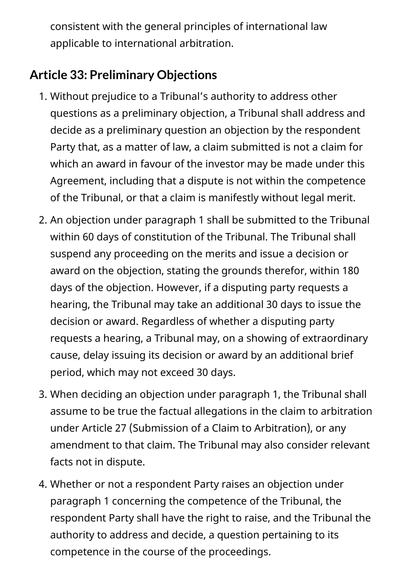consistent with the general principles of international law applicable to international arbitration.

#### **Article 33: Preliminary Objections**

- 1. Without prejudice to a Tribunal's authority to address other questions as a preliminary objection, a Tribunal shall address and decide as a preliminary question an objection by the respondent Party that, as a matter of law, a claim submitted is not a claim for which an award in favour of the investor may be made under this Agreement, including that a dispute is not within the competence of the Tribunal, or that a claim is manifestly without legal merit.
- 2. An objection under paragraph 1 shall be submitted to the Tribunal within 60 days of constitution of the Tribunal. The Tribunal shall suspend any proceeding on the merits and issue a decision or award on the objection, stating the grounds therefor, within 180 days of the objection. However, if a disputing party requests a hearing, the Tribunal may take an additional 30 days to issue the decision or award. Regardless of whether a disputing party requests a hearing, a Tribunal may, on a showing of extraordinary cause, delay issuing its decision or award by an additional brief period, which may not exceed 30 days.
- 3. When deciding an objection under paragraph 1, the Tribunal shall assume to be true the factual allegations in the claim to arbitration under Article 27 (Submission of a Claim to Arbitration), or any amendment to that claim. The Tribunal may also consider relevant facts not in dispute.
- 4. Whether or not a respondent Party raises an objection under paragraph 1 concerning the competence of the Tribunal, the respondent Party shall have the right to raise, and the Tribunal the authority to address and decide, a question pertaining to its competence in the course of the proceedings.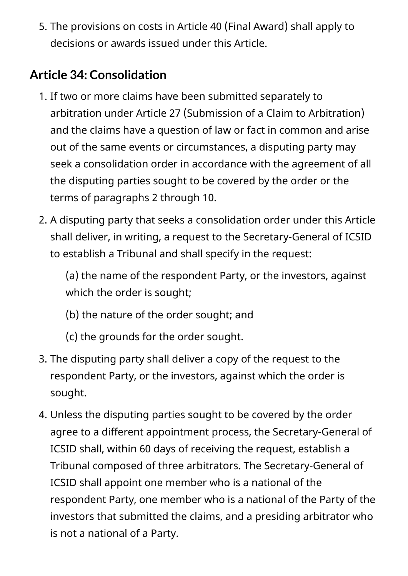5. The provisions on costs in Article 40 (Final Award) shall apply to decisions or awards issued under this Article.

### **Article 34: Consolidation**

- 1. If two or more claims have been submitted separately to arbitration under Article 27 (Submission of a Claim to Arbitration) and the claims have a question of law or fact in common and arise out of the same events or circumstances, a disputing party may seek a consolidation order in accordance with the agreement of all the disputing parties sought to be covered by the order or the terms of paragraphs 2 through 10.
- 2. A disputing party that seeks a consolidation order under this Article shall deliver, in writing, a request to the Secretary-General of ICSID to establish a Tribunal and shall specify in the request:

(a) the name of the respondent Party, or the investors, against which the order is sought;

- (b) the nature of the order sought; and
- (c) the grounds for the order sought.
- 3. The disputing party shall deliver a copy of the request to the respondent Party, or the investors, against which the order is sought.
- 4. Unless the disputing parties sought to be covered by the order agree to a different appointment process, the Secretary-General of ICSID shall, within 60 days of receiving the request, establish a Tribunal composed of three arbitrators. The Secretary-General of ICSID shall appoint one member who is a national of the respondent Party, one member who is a national of the Party of the investors that submitted the claims, and a presiding arbitrator who is not a national of a Party.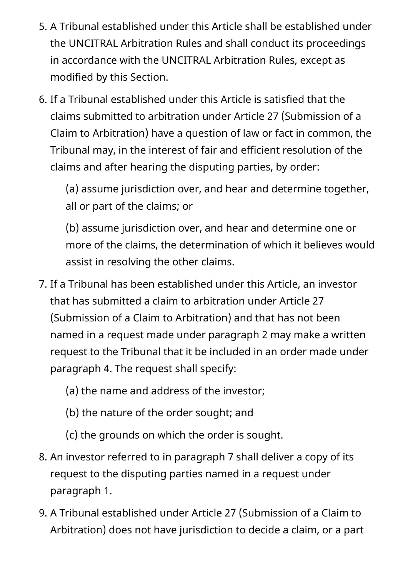- 5. A Tribunal established under this Article shall be established under the UNCITRAL Arbitration Rules and shall conduct its proceedings in accordance with the UNCITRAL Arbitration Rules, except as modified by this Section.
- 6. If a Tribunal established under this Article is satisfied that the claims submitted to arbitration under Article 27 (Submission of a Claim to Arbitration) have a question of law or fact in common, the Tribunal may, in the interest of fair and efficient resolution of the claims and after hearing the disputing parties, by order:

(a) assume jurisdiction over, and hear and determine together, all or part of the claims; or

(b) assume jurisdiction over, and hear and determine one or more of the claims, the determination of which it believes would assist in resolving the other claims.

- 7. If a Tribunal has been established under this Article, an investor that has submitted a claim to arbitration under Article 27 (Submission of a Claim to Arbitration) and that has not been named in a request made under paragraph 2 may make a written request to the Tribunal that it be included in an order made under paragraph 4. The request shall specify:
	- (a) the name and address of the investor;
	- (b) the nature of the order sought; and
	- (c) the grounds on which the order is sought.
- 8. An investor referred to in paragraph 7 shall deliver a copy of its request to the disputing parties named in a request under paragraph 1.
- 9. A Tribunal established under Article 27 (Submission of a Claim to Arbitration) does not have jurisdiction to decide a claim, or a part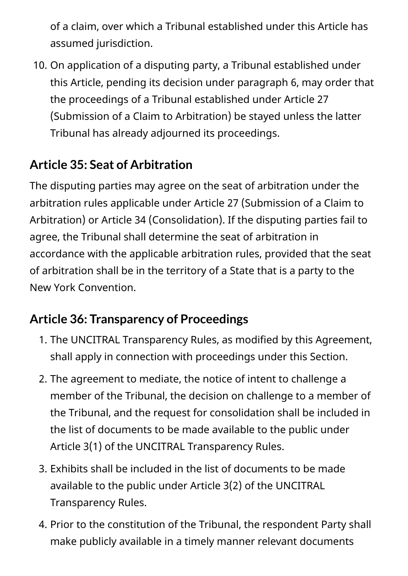of a claim, over which a Tribunal established under this Article has assumed jurisdiction.

10. On application of a disputing party, a Tribunal established under this Article, pending its decision under paragraph 6, may order that the proceedings of a Tribunal established under Article 27 (Submission of a Claim to Arbitration) be stayed unless the latter Tribunal has already adjourned its proceedings.

## **Article 35: Seat of Arbitration**

The disputing parties may agree on the seat of arbitration under the arbitration rules applicable under Article 27 (Submission of a Claim to Arbitration) or Article 34 (Consolidation). If the disputing parties fail to agree, the Tribunal shall determine the seat of arbitration in accordance with the applicable arbitration rules, provided that the seat of arbitration shall be in the territory of a State that is a party to the New York Convention.

### **Article 36: Transparency of Proceedings**

- 1. The UNCITRAL Transparency Rules, as modified by this Agreement, shall apply in connection with proceedings under this Section.
- 2. The agreement to mediate, the notice of intent to challenge a member of the Tribunal, the decision on challenge to a member of the Tribunal, and the request for consolidation shall be included in the list of documents to be made available to the public under Article 3(1) of the UNCITRAL Transparency Rules.
- 3. Exhibits shall be included in the list of documents to be made available to the public under Article 3(2) of the UNCITRAL Transparency Rules.
- 4. Prior to the constitution of the Tribunal, the respondent Party shall make publicly available in a timely manner relevant documents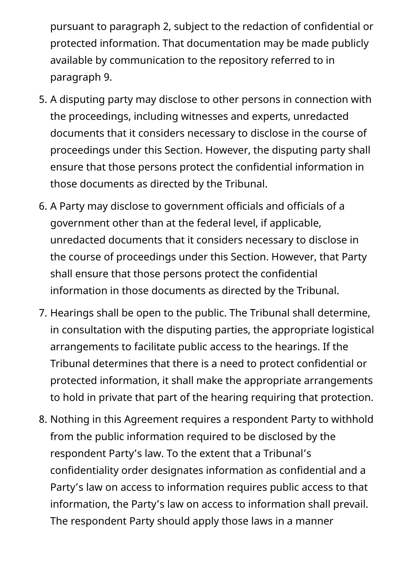pursuant to paragraph 2, subject to the redaction of confidential or protected information. That documentation may be made publicly available by communication to the repository referred to in paragraph 9.

- 5. A disputing party may disclose to other persons in connection with the proceedings, including witnesses and experts, unredacted documents that it considers necessary to disclose in the course of proceedings under this Section. However, the disputing party shall ensure that those persons protect the confidential information in those documents as directed by the Tribunal.
- 6. A Party may disclose to government officials and officials of a government other than at the federal level, if applicable, unredacted documents that it considers necessary to disclose in the course of proceedings under this Section. However, that Party shall ensure that those persons protect the confidential information in those documents as directed by the Tribunal.
- 7. Hearings shall be open to the public. The Tribunal shall determine, in consultation with the disputing parties, the appropriate logistical arrangements to facilitate public access to the hearings. If the Tribunal determines that there is a need to protect confidential or protected information, it shall make the appropriate arrangements to hold in private that part of the hearing requiring that protection.
- 8. Nothing in this Agreement requires a respondent Party to withhold from the public information required to be disclosed by the respondent Party's law. To the extent that a Tribunal's confidentiality order designates information as confidential and a Party's law on access to information requires public access to that information, the Party's law on access to information shall prevail. The respondent Party should apply those laws in a manner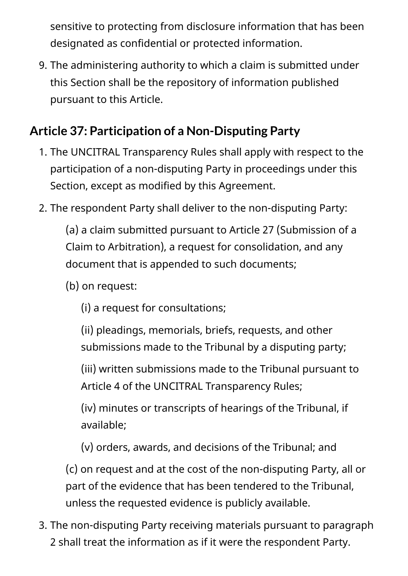sensitive to protecting from disclosure information that has been designated as confidential or protected information.

9. The administering authority to which a claim is submitted under this Section shall be the repository of information published pursuant to this Article.

### **Article 37: Participation of a Non-Disputing Party**

- 1. The UNCITRAL Transparency Rules shall apply with respect to the participation of a non-disputing Party in proceedings under this Section, except as modified by this Agreement.
- 2. The respondent Party shall deliver to the non-disputing Party:

(a) a claim submitted pursuant to Article 27 (Submission of a Claim to Arbitration), a request for consolidation, and any document that is appended to such documents;

- (b) on request:
	- (i) a request for consultations;
	- (ii) pleadings, memorials, briefs, requests, and other submissions made to the Tribunal by a disputing party;

(iii) written submissions made to the Tribunal pursuant to Article 4 of the UNCITRAL Transparency Rules;

(iv) minutes or transcripts of hearings of the Tribunal, if available;

(v) orders, awards, and decisions of the Tribunal; and

(c) on request and at the cost of the non-disputing Party, all or part of the evidence that has been tendered to the Tribunal, unless the requested evidence is publicly available.

3. The non-disputing Party receiving materials pursuant to paragraph 2 shall treat the information as if it were the respondent Party.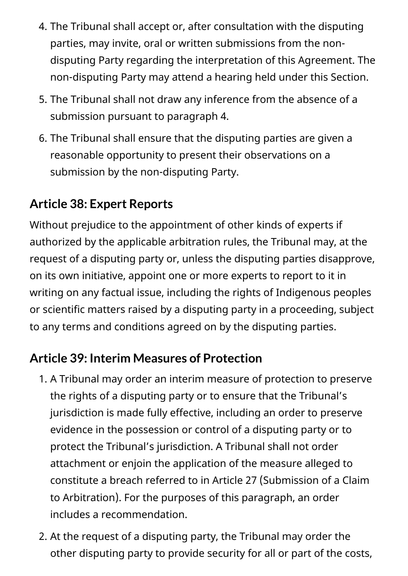- 4. The Tribunal shall accept or, after consultation with the disputing parties, may invite, oral or written submissions from the nondisputing Party regarding the interpretation of this Agreement. The non-disputing Party may attend a hearing held under this Section.
- 5. The Tribunal shall not draw any inference from the absence of a submission pursuant to paragraph 4.
- 6. The Tribunal shall ensure that the disputing parties are given a reasonable opportunity to present their observations on a submission by the non-disputing Party.

#### **Article 38: Expert Reports**

Without prejudice to the appointment of other kinds of experts if authorized by the applicable arbitration rules, the Tribunal may, at the request of a disputing party or, unless the disputing parties disapprove, on its own initiative, appoint one or more experts to report to it in writing on any factual issue, including the rights of Indigenous peoples or scientific matters raised by a disputing party in a proceeding, subject to any terms and conditions agreed on by the disputing parties.

#### **Article 39: Interim Measures of Protection**

- 1. A Tribunal may order an interim measure of protection to preserve the rights of a disputing party or to ensure that the Tribunal's jurisdiction is made fully effective, including an order to preserve evidence in the possession or control of a disputing party or to protect the Tribunal's jurisdiction. A Tribunal shall not order attachment or enjoin the application of the measure alleged to constitute a breach referred to in Article 27 (Submission of a Claim to Arbitration). For the purposes of this paragraph, an order includes a recommendation.
- 2. At the request of a disputing party, the Tribunal may order the other disputing party to provide security for all or part of the costs,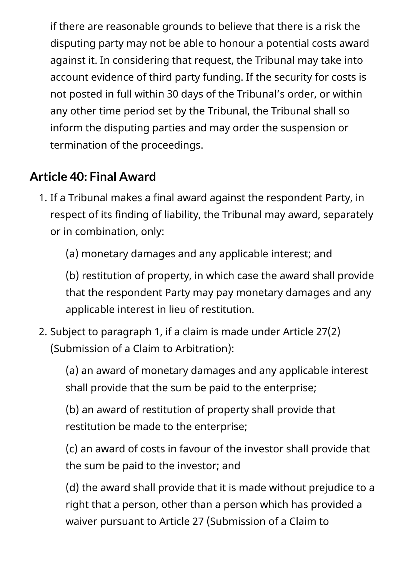if there are reasonable grounds to believe that there is a risk the disputing party may not be able to honour a potential costs award against it. In considering that request, the Tribunal may take into account evidence of third party funding. If the security for costs is not posted in full within 30 days of the Tribunal's order, or within any other time period set by the Tribunal, the Tribunal shall so inform the disputing parties and may order the suspension or termination of the proceedings.

### **Article 40: Final Award**

1. If a Tribunal makes a final award against the respondent Party, in respect of its finding of liability, the Tribunal may award, separately or in combination, only:

(a) monetary damages and any applicable interest; and

(b) restitution of property, in which case the award shall provide that the respondent Party may pay monetary damages and any applicable interest in lieu of restitution.

2. Subject to paragraph 1, if a claim is made under Article 27(2) (Submission of a Claim to Arbitration):

(a) an award of monetary damages and any applicable interest shall provide that the sum be paid to the enterprise;

(b) an award of restitution of property shall provide that restitution be made to the enterprise;

(c) an award of costs in favour of the investor shall provide that the sum be paid to the investor; and

(d) the award shall provide that it is made without prejudice to a right that a person, other than a person which has provided a waiver pursuant to Article 27 (Submission of a Claim to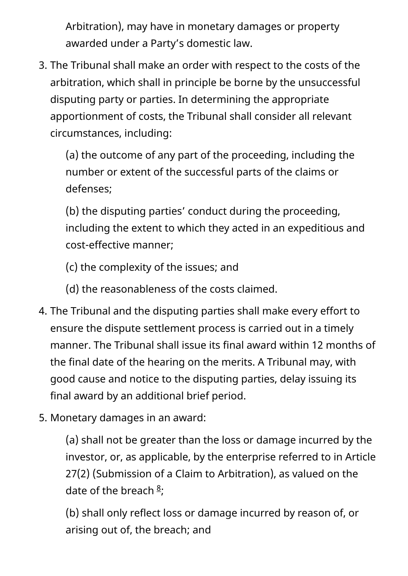Arbitration), may have in monetary damages or property awarded under a Party's domestic law.

3. The Tribunal shall make an order with respect to the costs of the arbitration, which shall in principle be borne by the unsuccessful disputing party or parties. In determining the appropriate apportionment of costs, the Tribunal shall consider all relevant circumstances, including:

(a) the outcome of any part of the proceeding, including the number or extent of the successful parts of the claims or defenses;

(b) the disputing parties' conduct during the proceeding, including the extent to which they acted in an expeditious and cost-effective manner;

(c) the complexity of the issues; and

(d) the reasonableness of the costs claimed.

- 4. The Tribunal and the disputing parties shall make every effort to ensure the dispute settlement process is carried out in a timely manner. The Tribunal shall issue its final award within 12 months of the final date of the hearing on the merits. A Tribunal may, with good cause and notice to the disputing parties, delay issuing its final award by an additional brief period.
- 5. Monetary damages in an award:

(a) shall not be greater than the loss or damage incurred by the investor, or, as applicable, by the enterprise referred to in Article 27(2) (Submission of a Claim to Arbitration), as valued on the date of the breach  $\frac{8}{7}$  $\frac{8}{7}$  $\frac{8}{7}$ ;

(b) shall only reflect loss or damage incurred by reason of, or arising out of, the breach; and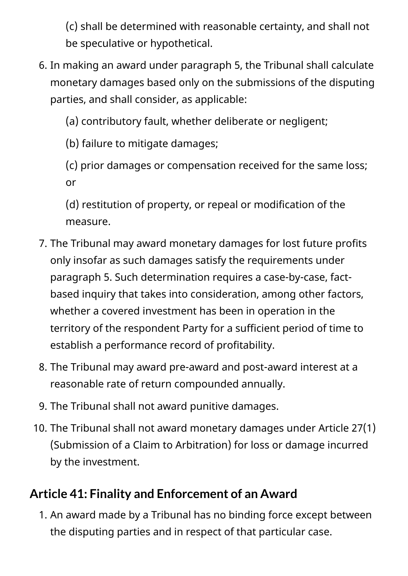(c) shall be determined with reasonable certainty, and shall not be speculative or hypothetical.

6. In making an award under paragraph 5, the Tribunal shall calculate monetary damages based only on the submissions of the disputing parties, and shall consider, as applicable:

(a) contributory fault, whether deliberate or negligent;

(b) failure to mitigate damages;

(c) prior damages or compensation received for the same loss; or

(d) restitution of property, or repeal or modification of the measure.

- 7. The Tribunal may award monetary damages for lost future profits only insofar as such damages satisfy the requirements under paragraph 5. Such determination requires a case-by-case, factbased inquiry that takes into consideration, among other factors, whether a covered investment has been in operation in the territory of the respondent Party for a sufficient period of time to establish a performance record of profitability.
- 8. The Tribunal may award pre-award and post-award interest at a reasonable rate of return compounded annually.
- 9. The Tribunal shall not award punitive damages.
- 10. The Tribunal shall not award monetary damages under Article 27(1) (Submission of a Claim to Arbitration) for loss or damage incurred by the investment.

## **Article 41: Finality and Enforcement of an Award**

1. An award made by a Tribunal has no binding force except between the disputing parties and in respect of that particular case.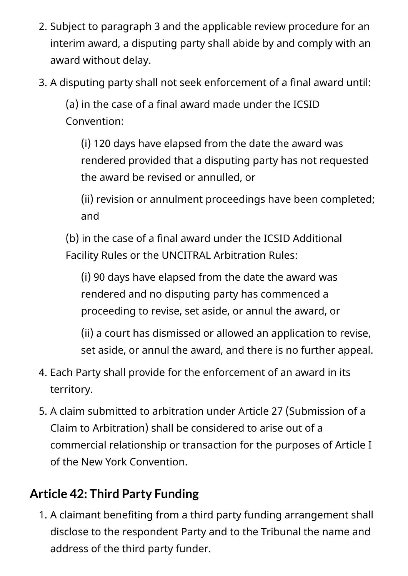- 2. Subject to paragraph 3 and the applicable review procedure for an interim award, a disputing party shall abide by and comply with an award without delay.
- 3. A disputing party shall not seek enforcement of a final award until:

(a) in the case of a final award made under the ICSID Convention:

(i) 120 days have elapsed from the date the award was rendered provided that a disputing party has not requested the award be revised or annulled, or

(ii) revision or annulment proceedings have been completed; and

(b) in the case of a final award under the ICSID Additional Facility Rules or the UNCITRAL Arbitration Rules:

(i) 90 days have elapsed from the date the award was rendered and no disputing party has commenced a proceeding to revise, set aside, or annul the award, or

(ii) a court has dismissed or allowed an application to revise, set aside, or annul the award, and there is no further appeal.

- 4. Each Party shall provide for the enforcement of an award in its territory.
- 5. A claim submitted to arbitration under Article 27 (Submission of a Claim to Arbitration) shall be considered to arise out of a commercial relationship or transaction for the purposes of Article I of the New York Convention.

#### **Article 42: Third Party Funding**

1. A claimant benefiting from a third party funding arrangement shall disclose to the respondent Party and to the Tribunal the name and address of the third party funder.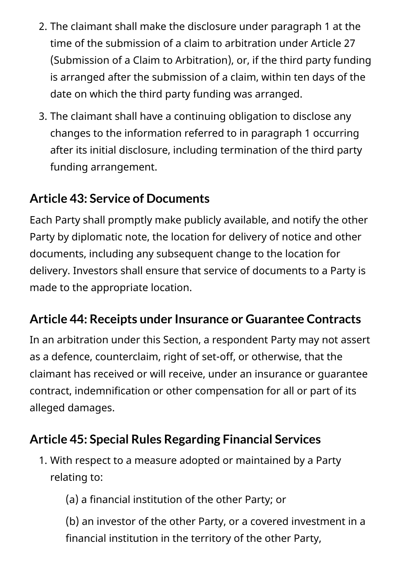- 2. The claimant shall make the disclosure under paragraph 1 at the time of the submission of a claim to arbitration under Article 27 (Submission of a Claim to Arbitration), or, if the third party funding is arranged after the submission of a claim, within ten days of the date on which the third party funding was arranged.
- 3. The claimant shall have a continuing obligation to disclose any changes to the information referred to in paragraph 1 occurring after its initial disclosure, including termination of the third party funding arrangement.

#### **Article 43: Service of Documents**

Each Party shall promptly make publicly available, and notify the other Party by diplomatic note, the location for delivery of notice and other documents, including any subsequent change to the location for delivery. Investors shall ensure that service of documents to a Party is made to the appropriate location.

#### **Article 44: Receipts under Insurance or Guarantee Contracts**

In an arbitration under this Section, a respondent Party may not assert as a defence, counterclaim, right of set-off, or otherwise, that the claimant has received or will receive, under an insurance or guarantee contract, indemnification or other compensation for all or part of its alleged damages.

### **Article 45: Special Rules Regarding Financial Services**

1. With respect to a measure adopted or maintained by a Party relating to:

(a) a financial institution of the other Party; or

(b) an investor of the other Party, or a covered investment in a financial institution in the territory of the other Party,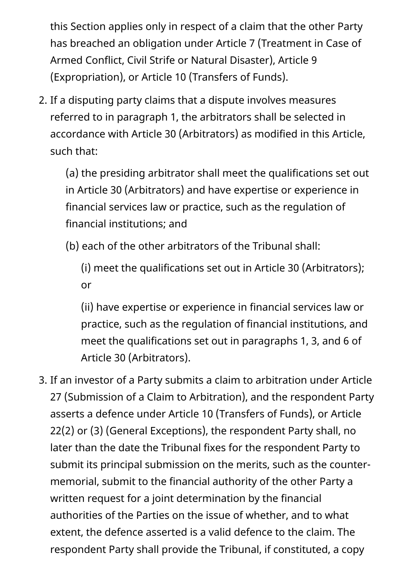this Section applies only in respect of a claim that the other Party has breached an obligation under Article 7 (Treatment in Case of Armed Conflict, Civil Strife or Natural Disaster), Article 9 (Expropriation), or Article 10 (Transfers of Funds).

2. If a disputing party claims that a dispute involves measures referred to in paragraph 1, the arbitrators shall be selected in accordance with Article 30 (Arbitrators) as modified in this Article, such that:

(a) the presiding arbitrator shall meet the qualifications set out in Article 30 (Arbitrators) and have expertise or experience in financial services law or practice, such as the regulation of financial institutions; and

(b) each of the other arbitrators of the Tribunal shall:

(i) meet the qualifications set out in Article 30 (Arbitrators); or

(ii) have expertise or experience in financial services law or practice, such as the regulation of financial institutions, and meet the qualifications set out in paragraphs 1, 3, and 6 of Article 30 (Arbitrators).

3. If an investor of a Party submits a claim to arbitration under Article 27 (Submission of a Claim to Arbitration), and the respondent Party asserts a defence under Article 10 (Transfers of Funds), or Article 22(2) or (3) (General Exceptions), the respondent Party shall, no later than the date the Tribunal fixes for the respondent Party to submit its principal submission on the merits, such as the countermemorial, submit to the financial authority of the other Party a written request for a joint determination by the financial authorities of the Parties on the issue of whether, and to what extent, the defence asserted is a valid defence to the claim. The respondent Party shall provide the Tribunal, if constituted, a copy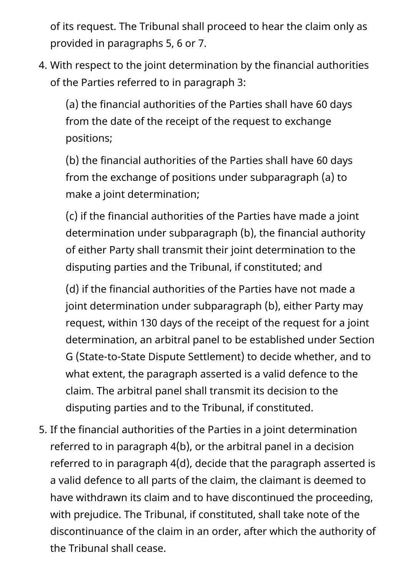of its request. The Tribunal shall proceed to hear the claim only as provided in paragraphs 5, 6 or 7.

4. With respect to the joint determination by the financial authorities of the Parties referred to in paragraph 3:

(a) the financial authorities of the Parties shall have 60 days from the date of the receipt of the request to exchange positions;

(b) the financial authorities of the Parties shall have 60 days from the exchange of positions under subparagraph (a) to make a joint determination;

(c) if the financial authorities of the Parties have made a joint determination under subparagraph (b), the financial authority of either Party shall transmit their joint determination to the disputing parties and the Tribunal, if constituted; and

(d) if the financial authorities of the Parties have not made a joint determination under subparagraph (b), either Party may request, within 130 days of the receipt of the request for a joint determination, an arbitral panel to be established under Section G (State-to-State Dispute Settlement) to decide whether, and to what extent, the paragraph asserted is a valid defence to the claim. The arbitral panel shall transmit its decision to the disputing parties and to the Tribunal, if constituted.

5. If the financial authorities of the Parties in a joint determination referred to in paragraph 4(b), or the arbitral panel in a decision referred to in paragraph 4(d), decide that the paragraph asserted is a valid defence to all parts of the claim, the claimant is deemed to have withdrawn its claim and to have discontinued the proceeding, with prejudice. The Tribunal, if constituted, shall take note of the discontinuance of the claim in an order, after which the authority of the Tribunal shall cease.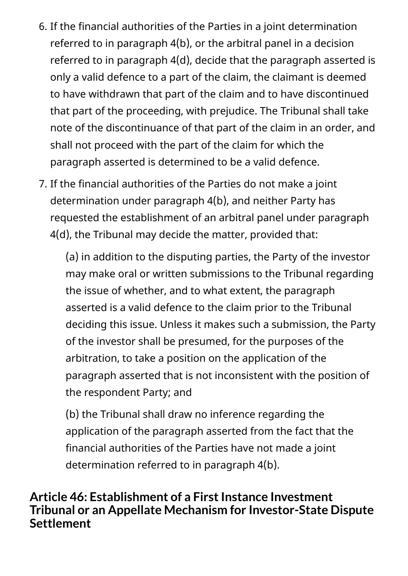- 6. If the financial authorities of the Parties in a joint determination referred to in paragraph 4(b), or the arbitral panel in a decision referred to in paragraph 4(d), decide that the paragraph asserted is only a valid defence to a part of the claim, the claimant is deemed to have withdrawn that part of the claim and to have discontinued that part of the proceeding, with prejudice. The Tribunal shall take note of the discontinuance of that part of the claim in an order, and shall not proceed with the part of the claim for which the paragraph asserted is determined to be a valid defence.
- 7. If the financial authorities of the Parties do not make a joint determination under paragraph 4(b), and neither Party has requested the establishment of an arbitral panel under paragraph 4(d), the Tribunal may decide the matter, provided that:

(a) in addition to the disputing parties, the Party of the investor may make oral or written submissions to the Tribunal regarding the issue of whether, and to what extent, the paragraph asserted is a valid defence to the claim prior to the Tribunal deciding this issue. Unless it makes such a submission, the Party of the investor shall be presumed, for the purposes of the arbitration, to take a position on the application of the paragraph asserted that is not inconsistent with the position of the respondent Party; and

(b) the Tribunal shall draw no inference regarding the application of the paragraph asserted from the fact that the financial authorities of the Parties have not made a joint determination referred to in paragraph 4(b).

#### **Article 46: Establishment of a First Instance Investment Tribunal or an Appellate Mechanism for Investor-State Dispute Settlement**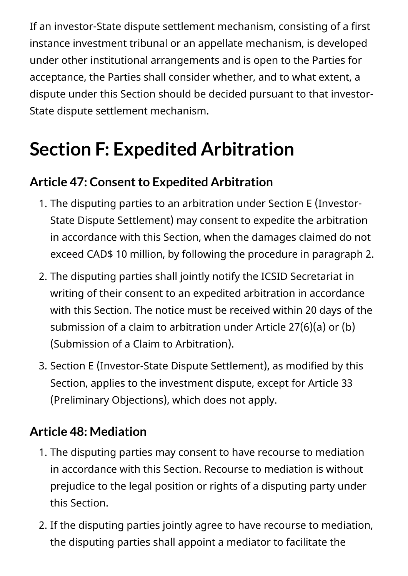If an investor-State dispute settlement mechanism, consisting of a first instance investment tribunal or an appellate mechanism, is developed under other institutional arrangements and is open to the Parties for acceptance, the Parties shall consider whether, and to what extent, a dispute under this Section should be decided pursuant to that investor-State dispute settlement mechanism.

# **Section F: Expedited Arbitration**

#### **Article 47: Consent to Expedited Arbitration**

- 1. The disputing parties to an arbitration under Section E (Investor-State Dispute Settlement) may consent to expedite the arbitration in accordance with this Section, when the damages claimed do not exceed CAD\$ 10 million, by following the procedure in paragraph 2.
- 2. The disputing parties shall jointly notify the ICSID Secretariat in writing of their consent to an expedited arbitration in accordance with this Section. The notice must be received within 20 days of the submission of a claim to arbitration under Article 27(6)(a) or (b) (Submission of a Claim to Arbitration).
- 3. Section E (Investor-State Dispute Settlement), as modified by this Section, applies to the investment dispute, except for Article 33 (Preliminary Objections), which does not apply.

#### **Article 48: Mediation**

- 1. The disputing parties may consent to have recourse to mediation in accordance with this Section. Recourse to mediation is without prejudice to the legal position or rights of a disputing party under this Section.
- 2. If the disputing parties jointly agree to have recourse to mediation, the disputing parties shall appoint a mediator to facilitate the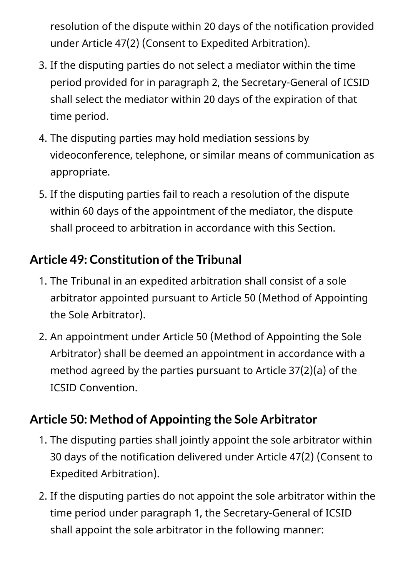resolution of the dispute within 20 days of the notification provided under Article 47(2) (Consent to Expedited Arbitration).

- 3. If the disputing parties do not select a mediator within the time period provided for in paragraph 2, the Secretary-General of ICSID shall select the mediator within 20 days of the expiration of that time period.
- 4. The disputing parties may hold mediation sessions by videoconference, telephone, or similar means of communication as appropriate.
- 5. If the disputing parties fail to reach a resolution of the dispute within 60 days of the appointment of the mediator, the dispute shall proceed to arbitration in accordance with this Section.

### **Article 49: Constitution of the Tribunal**

- 1. The Tribunal in an expedited arbitration shall consist of a sole arbitrator appointed pursuant to Article 50 (Method of Appointing the Sole Arbitrator).
- 2. An appointment under Article 50 (Method of Appointing the Sole Arbitrator) shall be deemed an appointment in accordance with a method agreed by the parties pursuant to Article 37(2)(a) of the ICSID Convention.

### **Article 50: Method of Appointing the Sole Arbitrator**

- 1. The disputing parties shall jointly appoint the sole arbitrator within 30 days of the notification delivered under Article 47(2) (Consent to Expedited Arbitration).
- 2. If the disputing parties do not appoint the sole arbitrator within the time period under paragraph 1, the Secretary-General of ICSID shall appoint the sole arbitrator in the following manner: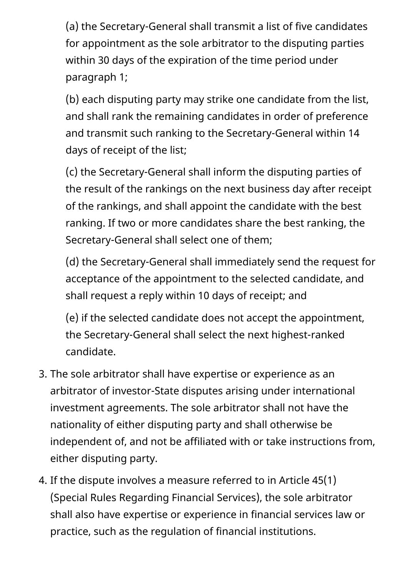(a) the Secretary-General shall transmit a list of five candidates for appointment as the sole arbitrator to the disputing parties within 30 days of the expiration of the time period under paragraph 1;

(b) each disputing party may strike one candidate from the list, and shall rank the remaining candidates in order of preference and transmit such ranking to the Secretary-General within 14 days of receipt of the list;

(c) the Secretary-General shall inform the disputing parties of the result of the rankings on the next business day after receipt of the rankings, and shall appoint the candidate with the best ranking. If two or more candidates share the best ranking, the Secretary-General shall select one of them;

(d) the Secretary-General shall immediately send the request for acceptance of the appointment to the selected candidate, and shall request a reply within 10 days of receipt; and

(e) if the selected candidate does not accept the appointment, the Secretary-General shall select the next highest-ranked candidate.

- 3. The sole arbitrator shall have expertise or experience as an arbitrator of investor-State disputes arising under international investment agreements. The sole arbitrator shall not have the nationality of either disputing party and shall otherwise be independent of, and not be affiliated with or take instructions from, either disputing party.
- 4. If the dispute involves a measure referred to in Article 45(1) (Special Rules Regarding Financial Services), the sole arbitrator shall also have expertise or experience in financial services law or practice, such as the regulation of financial institutions.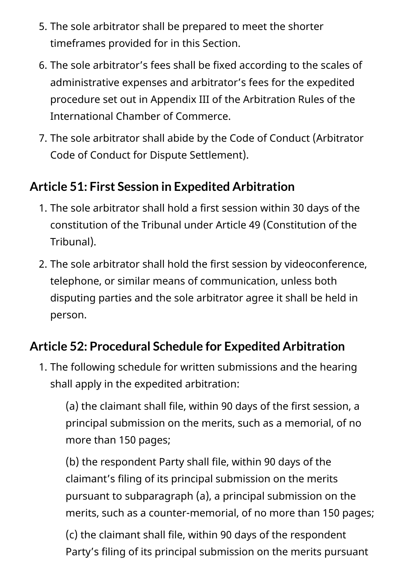- 5. The sole arbitrator shall be prepared to meet the shorter timeframes provided for in this Section.
- 6. The sole arbitrator's fees shall be fixed according to the scales of administrative expenses and arbitrator's fees for the expedited procedure set out in Appendix III of the Arbitration Rules of the International Chamber of Commerce.
- 7. The sole arbitrator shall abide by the Code of Conduct (Arbitrator Code of Conduct for Dispute Settlement).

#### **Article 51: First Session in Expedited Arbitration**

- 1. The sole arbitrator shall hold a first session within 30 days of the constitution of the Tribunal under Article 49 (Constitution of the Tribunal).
- 2. The sole arbitrator shall hold the first session by videoconference, telephone, or similar means of communication, unless both disputing parties and the sole arbitrator agree it shall be held in person.

### **Article 52: Procedural Schedule for Expedited Arbitration**

1. The following schedule for written submissions and the hearing shall apply in the expedited arbitration:

(a) the claimant shall file, within 90 days of the first session, a principal submission on the merits, such as a memorial, of no more than 150 pages;

(b) the respondent Party shall file, within 90 days of the claimant's filing of its principal submission on the merits pursuant to subparagraph (a), a principal submission on the merits, such as a counter-memorial, of no more than 150 pages;

(c) the claimant shall file, within 90 days of the respondent Party's filing of its principal submission on the merits pursuant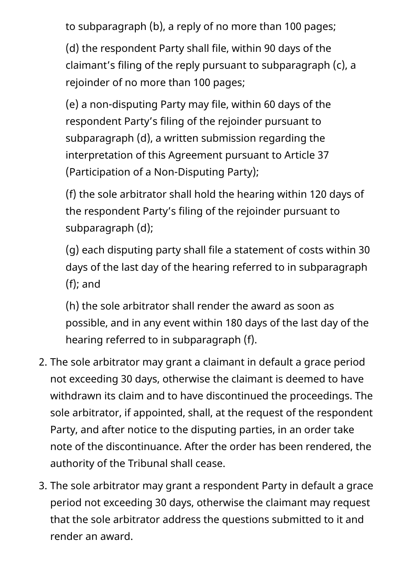to subparagraph (b), a reply of no more than 100 pages;

(d) the respondent Party shall file, within 90 days of the claimant's filing of the reply pursuant to subparagraph (c), a rejoinder of no more than 100 pages;

(e) a non-disputing Party may file, within 60 days of the respondent Party's filing of the rejoinder pursuant to subparagraph (d), a written submission regarding the interpretation of this Agreement pursuant to Article 37 (Participation of a Non-Disputing Party);

(f) the sole arbitrator shall hold the hearing within 120 days of the respondent Party's filing of the rejoinder pursuant to subparagraph (d);

(g) each disputing party shall file a statement of costs within 30 days of the last day of the hearing referred to in subparagraph (f); and

(h) the sole arbitrator shall render the award as soon as possible, and in any event within 180 days of the last day of the hearing referred to in subparagraph (f).

- 2. The sole arbitrator may grant a claimant in default a grace period not exceeding 30 days, otherwise the claimant is deemed to have withdrawn its claim and to have discontinued the proceedings. The sole arbitrator, if appointed, shall, at the request of the respondent Party, and after notice to the disputing parties, in an order take note of the discontinuance. After the order has been rendered, the authority of the Tribunal shall cease.
- 3. The sole arbitrator may grant a respondent Party in default a grace period not exceeding 30 days, otherwise the claimant may request that the sole arbitrator address the questions submitted to it and render an award.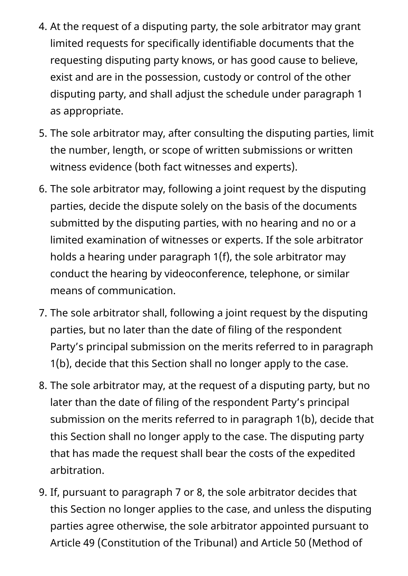- 4. At the request of a disputing party, the sole arbitrator may grant limited requests for specifically identifiable documents that the requesting disputing party knows, or has good cause to believe, exist and are in the possession, custody or control of the other disputing party, and shall adjust the schedule under paragraph 1 as appropriate.
- 5. The sole arbitrator may, after consulting the disputing parties, limit the number, length, or scope of written submissions or written witness evidence (both fact witnesses and experts).
- 6. The sole arbitrator may, following a joint request by the disputing parties, decide the dispute solely on the basis of the documents submitted by the disputing parties, with no hearing and no or a limited examination of witnesses or experts. If the sole arbitrator holds a hearing under paragraph 1(f), the sole arbitrator may conduct the hearing by videoconference, telephone, or similar means of communication.
- 7. The sole arbitrator shall, following a joint request by the disputing parties, but no later than the date of filing of the respondent Party's principal submission on the merits referred to in paragraph 1(b), decide that this Section shall no longer apply to the case.
- 8. The sole arbitrator may, at the request of a disputing party, but no later than the date of filing of the respondent Party's principal submission on the merits referred to in paragraph 1(b), decide that this Section shall no longer apply to the case. The disputing party that has made the request shall bear the costs of the expedited arbitration.
- 9. If, pursuant to paragraph 7 or 8, the sole arbitrator decides that this Section no longer applies to the case, and unless the disputing parties agree otherwise, the sole arbitrator appointed pursuant to Article 49 (Constitution of the Tribunal) and Article 50 (Method of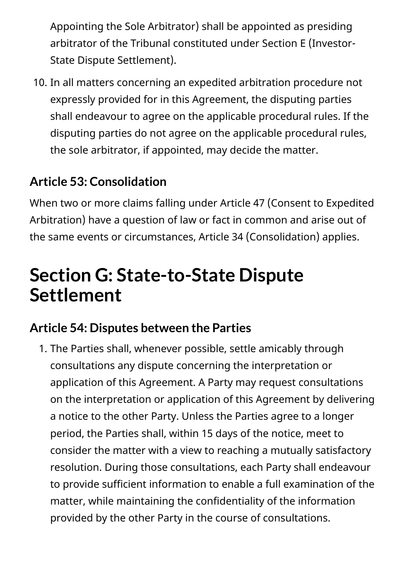Appointing the Sole Arbitrator) shall be appointed as presiding arbitrator of the Tribunal constituted under Section E (Investor-State Dispute Settlement).

10. In all matters concerning an expedited arbitration procedure not expressly provided for in this Agreement, the disputing parties shall endeavour to agree on the applicable procedural rules. If the disputing parties do not agree on the applicable procedural rules, the sole arbitrator, if appointed, may decide the matter.

#### **Article 53: Consolidation**

When two or more claims falling under Article 47 (Consent to Expedited Arbitration) have a question of law or fact in common and arise out of the same events or circumstances, Article 34 (Consolidation) applies.

# **Section G: State-to-State Dispute Settlement**

#### **Article 54: Disputes between the Parties**

1. The Parties shall, whenever possible, settle amicably through consultations any dispute concerning the interpretation or application of this Agreement. A Party may request consultations on the interpretation or application of this Agreement by delivering a notice to the other Party. Unless the Parties agree to a longer period, the Parties shall, within 15 days of the notice, meet to consider the matter with a view to reaching a mutually satisfactory resolution. During those consultations, each Party shall endeavour to provide sufficient information to enable a full examination of the matter, while maintaining the confidentiality of the information provided by the other Party in the course of consultations.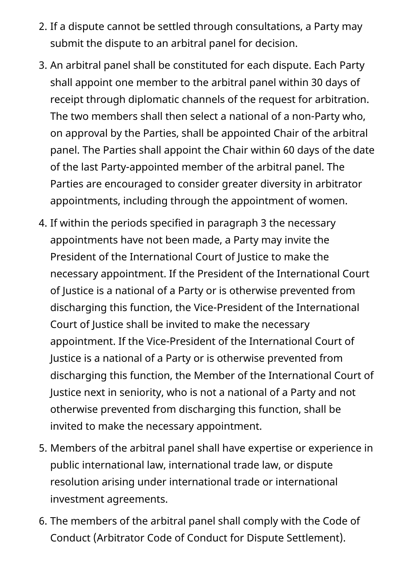- 2. If a dispute cannot be settled through consultations, a Party may submit the dispute to an arbitral panel for decision.
- 3. An arbitral panel shall be constituted for each dispute. Each Party shall appoint one member to the arbitral panel within 30 days of receipt through diplomatic channels of the request for arbitration. The two members shall then select a national of a non-Party who, on approval by the Parties, shall be appointed Chair of the arbitral panel. The Parties shall appoint the Chair within 60 days of the date of the last Party-appointed member of the arbitral panel. The Parties are encouraged to consider greater diversity in arbitrator appointments, including through the appointment of women.
- 4. If within the periods specified in paragraph 3 the necessary appointments have not been made, a Party may invite the President of the International Court of Justice to make the necessary appointment. If the President of the International Court of Justice is a national of a Party or is otherwise prevented from discharging this function, the Vice-President of the International Court of Justice shall be invited to make the necessary appointment. If the Vice-President of the International Court of Justice is a national of a Party or is otherwise prevented from discharging this function, the Member of the International Court of Justice next in seniority, who is not a national of a Party and not otherwise prevented from discharging this function, shall be invited to make the necessary appointment.
- 5. Members of the arbitral panel shall have expertise or experience in public international law, international trade law, or dispute resolution arising under international trade or international investment agreements.
- 6. The members of the arbitral panel shall comply with the Code of Conduct (Arbitrator Code of Conduct for Dispute Settlement).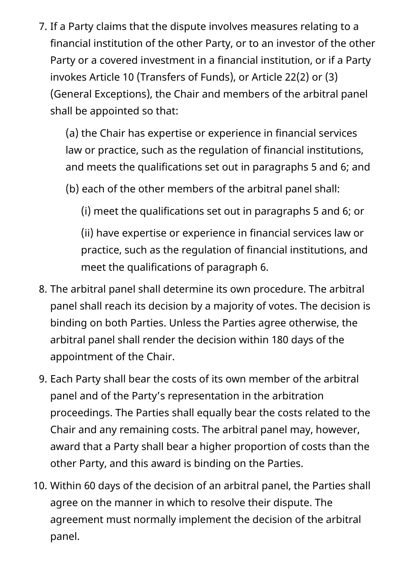7. If a Party claims that the dispute involves measures relating to a financial institution of the other Party, or to an investor of the other Party or a covered investment in a financial institution, or if a Party invokes Article 10 (Transfers of Funds), or Article 22(2) or (3) (General Exceptions), the Chair and members of the arbitral panel shall be appointed so that:

(a) the Chair has expertise or experience in financial services law or practice, such as the regulation of financial institutions, and meets the qualifications set out in paragraphs 5 and 6; and

(b) each of the other members of the arbitral panel shall:

(i) meet the qualifications set out in paragraphs 5 and 6; or

(ii) have expertise or experience in financial services law or practice, such as the regulation of financial institutions, and meet the qualifications of paragraph 6.

- 8. The arbitral panel shall determine its own procedure. The arbitral panel shall reach its decision by a majority of votes. The decision is binding on both Parties. Unless the Parties agree otherwise, the arbitral panel shall render the decision within 180 days of the appointment of the Chair.
- 9. Each Party shall bear the costs of its own member of the arbitral panel and of the Party's representation in the arbitration proceedings. The Parties shall equally bear the costs related to the Chair and any remaining costs. The arbitral panel may, however, award that a Party shall bear a higher proportion of costs than the other Party, and this award is binding on the Parties.
- 10. Within 60 days of the decision of an arbitral panel, the Parties shall agree on the manner in which to resolve their dispute. The agreement must normally implement the decision of the arbitral panel.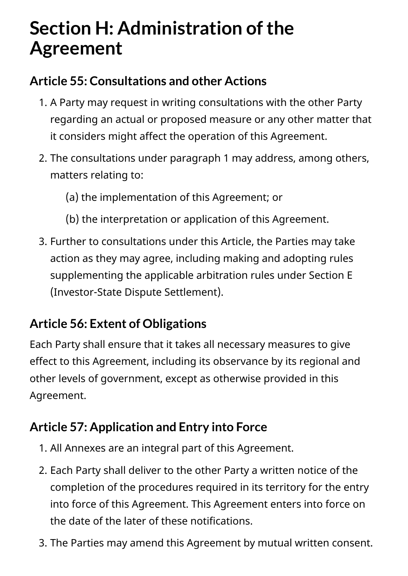# **Section H: Administration of the Agreement**

#### **Article 55: Consultations and other Actions**

- 1. A Party may request in writing consultations with the other Party regarding an actual or proposed measure or any other matter that it considers might affect the operation of this Agreement.
- 2. The consultations under paragraph 1 may address, among others, matters relating to:
	- (a) the implementation of this Agreement; or
	- (b) the interpretation or application of this Agreement.
- 3. Further to consultations under this Article, the Parties may take action as they may agree, including making and adopting rules supplementing the applicable arbitration rules under Section E (Investor-State Dispute Settlement).

### **Article 56: Extent of Obligations**

Each Party shall ensure that it takes all necessary measures to give effect to this Agreement, including its observance by its regional and other levels of government, except as otherwise provided in this Agreement.

#### **Article 57: Application and Entry into Force**

- 1. All Annexes are an integral part of this Agreement.
- 2. Each Party shall deliver to the other Party a written notice of the completion of the procedures required in its territory for the entry into force of this Agreement. This Agreement enters into force on the date of the later of these notifications.
- 3. The Parties may amend this Agreement by mutual written consent.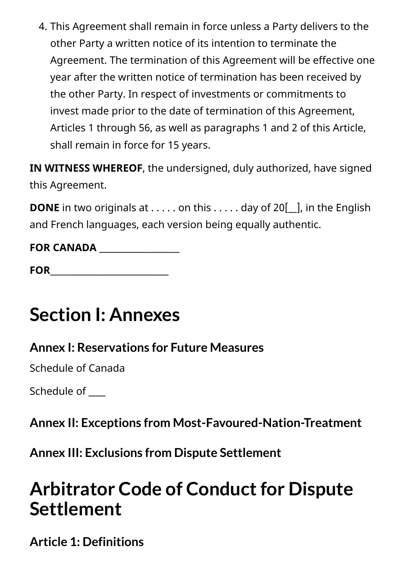4. This Agreement shall remain in force unless a Party delivers to the other Party a written notice of its intention to terminate the Agreement. The termination of this Agreement will be effective one year after the written notice of termination has been received by the other Party. In respect of investments or commitments to invest made prior to the date of termination of this Agreement, Articles 1 through 56, as well as paragraphs 1 and 2 of this Article, shall remain in force for 15 years.

**IN WITNESS WHEREOF**, the undersigned, duly authorized, have signed this Agreement.

**DONE** in two originals at . . . . . on this . . . . . day of 20<sup>[11]</sup>, in the English and French languages, each version being equally authentic.

| <b>FOR CANADA</b> |  |
|-------------------|--|
|-------------------|--|

# **Section I: Annexes**

#### **Annex I: Reservations for Future Measures**

Schedule of Canada

Schedule of \_\_\_\_\_

**Annex II: Exceptions from Most-Favoured-Nation-Treatment**

**Annex III: Exclusions from Dispute Settlement**

# **Arbitrator Code of Conduct for Dispute Settlement**

**Article 1: Definitions**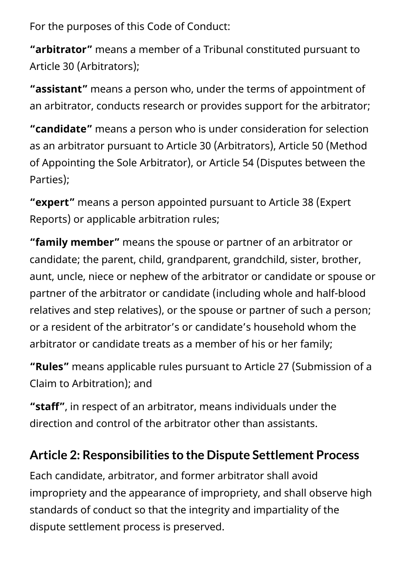For the purposes of this Code of Conduct:

**"arbitrator"** means a member of a Tribunal constituted pursuant to Article 30 (Arbitrators);

**"assistant"** means a person who, under the terms of appointment of an arbitrator, conducts research or provides support for the arbitrator;

**"candidate"** means a person who is under consideration for selection as an arbitrator pursuant to Article 30 (Arbitrators), Article 50 (Method of Appointing the Sole Arbitrator), or Article 54 (Disputes between the Parties);

**"expert"** means a person appointed pursuant to Article 38 (Expert Reports) or applicable arbitration rules;

**"family member"** means the spouse or partner of an arbitrator or candidate; the parent, child, grandparent, grandchild, sister, brother, aunt, uncle, niece or nephew of the arbitrator or candidate or spouse or partner of the arbitrator or candidate (including whole and half-blood relatives and step relatives), or the spouse or partner of such a person; or a resident of the arbitrator's or candidate's household whom the arbitrator or candidate treats as a member of his or her family;

**"Rules"** means applicable rules pursuant to Article 27 (Submission of a Claim to Arbitration); and

**"staff"**, in respect of an arbitrator, means individuals under the direction and control of the arbitrator other than assistants.

## **Article 2: Responsibilities to the Dispute Settlement Process**

Each candidate, arbitrator, and former arbitrator shall avoid impropriety and the appearance of impropriety, and shall observe high standards of conduct so that the integrity and impartiality of the dispute settlement process is preserved.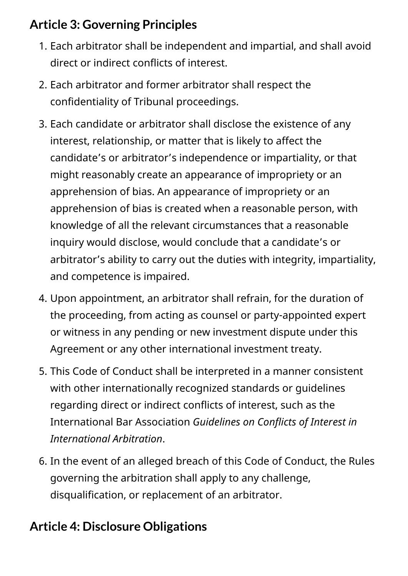## **Article 3: Governing Principles**

- 1. Each arbitrator shall be independent and impartial, and shall avoid direct or indirect conflicts of interest.
- 2. Each arbitrator and former arbitrator shall respect the confidentiality of Tribunal proceedings.
- 3. Each candidate or arbitrator shall disclose the existence of any interest, relationship, or matter that is likely to affect the candidate's or arbitrator's independence or impartiality, or that might reasonably create an appearance of impropriety or an apprehension of bias. An appearance of impropriety or an apprehension of bias is created when a reasonable person, with knowledge of all the relevant circumstances that a reasonable inquiry would disclose, would conclude that a candidate's or arbitrator's ability to carry out the duties with integrity, impartiality, and competence is impaired.
- 4. Upon appointment, an arbitrator shall refrain, for the duration of the proceeding, from acting as counsel or party-appointed expert or witness in any pending or new investment dispute under this Agreement or any other international investment treaty.
- 5. This Code of Conduct shall be interpreted in a manner consistent with other internationally recognized standards or guidelines regarding direct or indirect conflicts of interest, such as the International Bar Association *Guidelines on Conflicts of Interest in International Arbitration*.
- 6. In the event of an alleged breach of this Code of Conduct, the Rules governing the arbitration shall apply to any challenge, disqualification, or replacement of an arbitrator.

### **Article 4: Disclosure Obligations**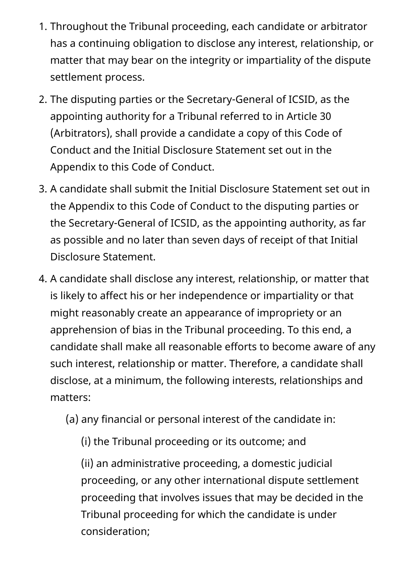- 1. Throughout the Tribunal proceeding, each candidate or arbitrator has a continuing obligation to disclose any interest, relationship, or matter that may bear on the integrity or impartiality of the dispute settlement process.
- 2. The disputing parties or the Secretary-General of ICSID, as the appointing authority for a Tribunal referred to in Article 30 (Arbitrators), shall provide a candidate a copy of this Code of Conduct and the Initial Disclosure Statement set out in the Appendix to this Code of Conduct.
- 3. A candidate shall submit the Initial Disclosure Statement set out in the Appendix to this Code of Conduct to the disputing parties or the Secretary-General of ICSID, as the appointing authority, as far as possible and no later than seven days of receipt of that Initial Disclosure Statement.
- 4. A candidate shall disclose any interest, relationship, or matter that is likely to affect his or her independence or impartiality or that might reasonably create an appearance of impropriety or an apprehension of bias in the Tribunal proceeding. To this end, a candidate shall make all reasonable efforts to become aware of any such interest, relationship or matter. Therefore, a candidate shall disclose, at a minimum, the following interests, relationships and matters:
	- (a) any financial or personal interest of the candidate in:
		- (i) the Tribunal proceeding or its outcome; and

(ii) an administrative proceeding, a domestic judicial proceeding, or any other international dispute settlement proceeding that involves issues that may be decided in the Tribunal proceeding for which the candidate is under consideration;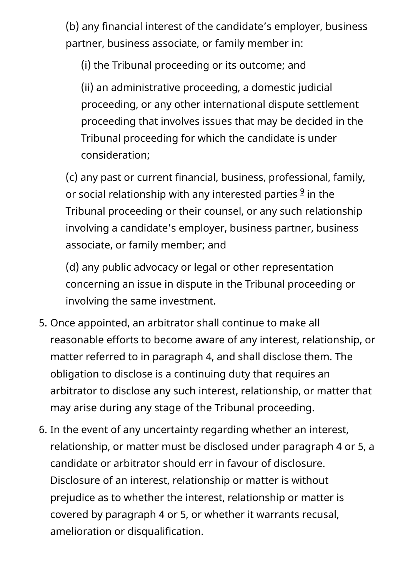(b) any financial interest of the candidate's employer, business partner, business associate, or family member in:

(i) the Tribunal proceeding or its outcome; and

(ii) an administrative proceeding, a domestic judicial proceeding, or any other international dispute settlement proceeding that involves issues that may be decided in the Tribunal proceeding for which the candidate is under consideration;

<span id="page-75-0"></span>(c) any past or current financial, business, professional, family, or social relationship with any interested parties  $9$  in the Tribunal proceeding or their counsel, or any such relationship involving a candidate's employer, business partner, business associate, or family member; and

(d) any public advocacy or legal or other representation concerning an issue in dispute in the Tribunal proceeding or involving the same investment.

- 5. Once appointed, an arbitrator shall continue to make all reasonable efforts to become aware of any interest, relationship, or matter referred to in paragraph 4, and shall disclose them. The obligation to disclose is a continuing duty that requires an arbitrator to disclose any such interest, relationship, or matter that may arise during any stage of the Tribunal proceeding.
- 6. In the event of any uncertainty regarding whether an interest, relationship, or matter must be disclosed under paragraph 4 or 5, a candidate or arbitrator should err in favour of disclosure. Disclosure of an interest, relationship or matter is without prejudice as to whether the interest, relationship or matter is covered by paragraph 4 or 5, or whether it warrants recusal, amelioration or disqualification.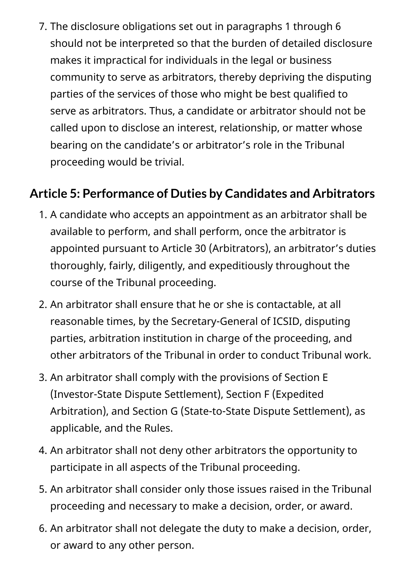7. The disclosure obligations set out in paragraphs 1 through 6 should not be interpreted so that the burden of detailed disclosure makes it impractical for individuals in the legal or business community to serve as arbitrators, thereby depriving the disputing parties of the services of those who might be best qualified to serve as arbitrators. Thus, a candidate or arbitrator should not be called upon to disclose an interest, relationship, or matter whose bearing on the candidate's or arbitrator's role in the Tribunal proceeding would be trivial.

#### **Article 5: Performance of Duties by Candidates and Arbitrators**

- 1. A candidate who accepts an appointment as an arbitrator shall be available to perform, and shall perform, once the arbitrator is appointed pursuant to Article 30 (Arbitrators), an arbitrator's duties thoroughly, fairly, diligently, and expeditiously throughout the course of the Tribunal proceeding.
- 2. An arbitrator shall ensure that he or she is contactable, at all reasonable times, by the Secretary-General of ICSID, disputing parties, arbitration institution in charge of the proceeding, and other arbitrators of the Tribunal in order to conduct Tribunal work.
- 3. An arbitrator shall comply with the provisions of Section E (Investor-State Dispute Settlement), Section F (Expedited Arbitration), and Section G (State-to-State Dispute Settlement), as applicable, and the Rules.
- 4. An arbitrator shall not deny other arbitrators the opportunity to participate in all aspects of the Tribunal proceeding.
- 5. An arbitrator shall consider only those issues raised in the Tribunal proceeding and necessary to make a decision, order, or award.
- 6. An arbitrator shall not delegate the duty to make a decision, order, or award to any other person.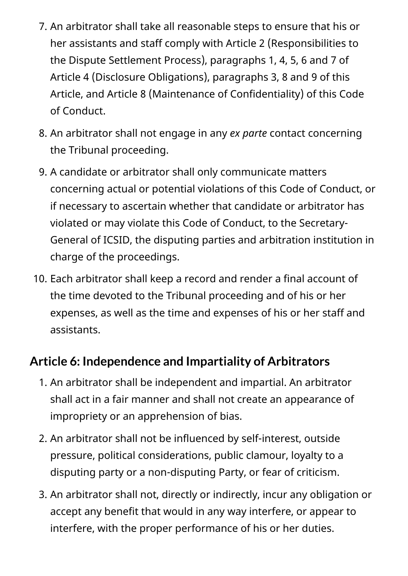- 7. An arbitrator shall take all reasonable steps to ensure that his or her assistants and staff comply with Article 2 (Responsibilities to the Dispute Settlement Process), paragraphs 1, 4, 5, 6 and 7 of Article 4 (Disclosure Obligations), paragraphs 3, 8 and 9 of this Article, and Article 8 (Maintenance of Confidentiality) of this Code of Conduct.
- 8. An arbitrator shall not engage in any *ex parte* contact concerning the Tribunal proceeding.
- 9. A candidate or arbitrator shall only communicate matters concerning actual or potential violations of this Code of Conduct, or if necessary to ascertain whether that candidate or arbitrator has violated or may violate this Code of Conduct, to the Secretary-General of ICSID, the disputing parties and arbitration institution in charge of the proceedings.
- 10. Each arbitrator shall keep a record and render a final account of the time devoted to the Tribunal proceeding and of his or her expenses, as well as the time and expenses of his or her staff and assistants.

#### **Article 6: Independence and Impartiality of Arbitrators**

- 1. An arbitrator shall be independent and impartial. An arbitrator shall act in a fair manner and shall not create an appearance of impropriety or an apprehension of bias.
- 2. An arbitrator shall not be influenced by self-interest, outside pressure, political considerations, public clamour, loyalty to a disputing party or a non-disputing Party, or fear of criticism.
- 3. An arbitrator shall not, directly or indirectly, incur any obligation or accept any benefit that would in any way interfere, or appear to interfere, with the proper performance of his or her duties.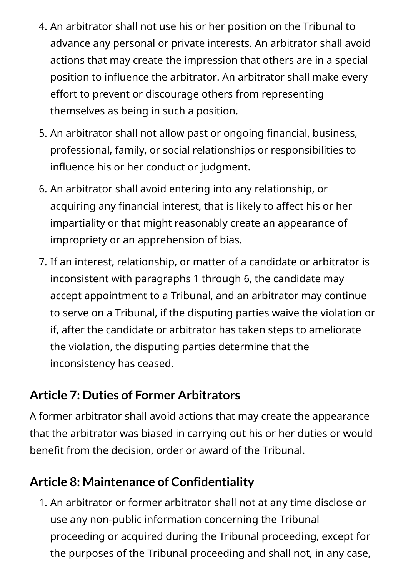- 4. An arbitrator shall not use his or her position on the Tribunal to advance any personal or private interests. An arbitrator shall avoid actions that may create the impression that others are in a special position to influence the arbitrator. An arbitrator shall make every effort to prevent or discourage others from representing themselves as being in such a position.
- 5. An arbitrator shall not allow past or ongoing financial, business, professional, family, or social relationships or responsibilities to influence his or her conduct or judgment.
- 6. An arbitrator shall avoid entering into any relationship, or acquiring any financial interest, that is likely to affect his or her impartiality or that might reasonably create an appearance of impropriety or an apprehension of bias.
- 7. If an interest, relationship, or matter of a candidate or arbitrator is inconsistent with paragraphs 1 through 6, the candidate may accept appointment to a Tribunal, and an arbitrator may continue to serve on a Tribunal, if the disputing parties waive the violation or if, after the candidate or arbitrator has taken steps to ameliorate the violation, the disputing parties determine that the inconsistency has ceased.

#### **Article 7: Duties of Former Arbitrators**

A former arbitrator shall avoid actions that may create the appearance that the arbitrator was biased in carrying out his or her duties or would benefit from the decision, order or award of the Tribunal.

### **Article 8: Maintenance of Confidentiality**

1. An arbitrator or former arbitrator shall not at any time disclose or use any non-public information concerning the Tribunal proceeding or acquired during the Tribunal proceeding, except for the purposes of the Tribunal proceeding and shall not, in any case,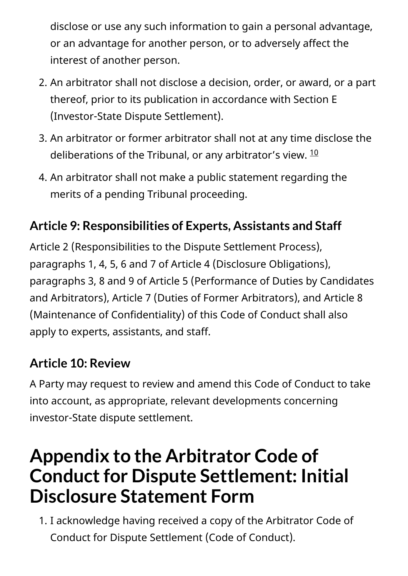disclose or use any such information to gain a personal advantage, or an advantage for another person, or to adversely affect the interest of another person.

- 2. An arbitrator shall not disclose a decision, order, or award, or a part thereof, prior to its publication in accordance with Section E (Investor-State Dispute Settlement).
- <span id="page-79-0"></span>3. An arbitrator or former arbitrator shall not at any time disclose the deliberations of the Tribunal, or any arbitrator's view.  $^{\underline{10}}$  $^{\underline{10}}$  $^{\underline{10}}$
- 4. An arbitrator shall not make a public statement regarding the merits of a pending Tribunal proceeding.

# **Article 9: Responsibilities of Experts, Assistants and Staff**

Article 2 (Responsibilities to the Dispute Settlement Process), paragraphs 1, 4, 5, 6 and 7 of Article 4 (Disclosure Obligations), paragraphs 3, 8 and 9 of Article 5 (Performance of Duties by Candidates and Arbitrators), Article 7 (Duties of Former Arbitrators), and Article 8 (Maintenance of Confidentiality) of this Code of Conduct shall also apply to experts, assistants, and staff.

## **Article 10: Review**

A Party may request to review and amend this Code of Conduct to take into account, as appropriate, relevant developments concerning investor-State dispute settlement.

# **Appendix to the Arbitrator Code of Conduct for Dispute Settlement: Initial Disclosure Statement Form**

1. I acknowledge having received a copy of the Arbitrator Code of Conduct for Dispute Settlement (Code of Conduct).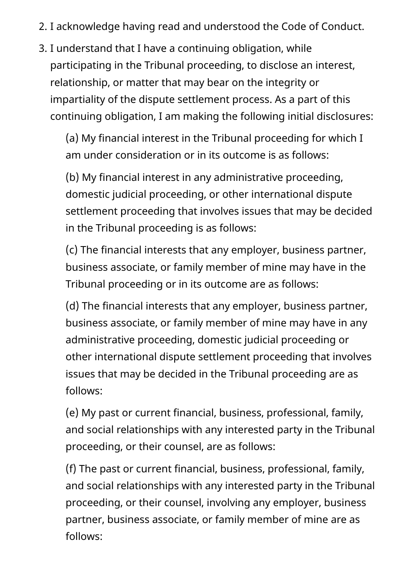- 2. I acknowledge having read and understood the Code of Conduct.
- 3. I understand that I have a continuing obligation, while participating in the Tribunal proceeding, to disclose an interest, relationship, or matter that may bear on the integrity or impartiality of the dispute settlement process. As a part of this continuing obligation, I am making the following initial disclosures:

(a) My financial interest in the Tribunal proceeding for which I am under consideration or in its outcome is as follows:

(b) My financial interest in any administrative proceeding, domestic judicial proceeding, or other international dispute settlement proceeding that involves issues that may be decided in the Tribunal proceeding is as follows:

(c) The financial interests that any employer, business partner, business associate, or family member of mine may have in the Tribunal proceeding or in its outcome are as follows:

(d) The financial interests that any employer, business partner, business associate, or family member of mine may have in any administrative proceeding, domestic judicial proceeding or other international dispute settlement proceeding that involves issues that may be decided in the Tribunal proceeding are as follows:

(e) My past or current financial, business, professional, family, and social relationships with any interested party in the Tribunal proceeding, or their counsel, are as follows:

(f) The past or current financial, business, professional, family, and social relationships with any interested party in the Tribunal proceeding, or their counsel, involving any employer, business partner, business associate, or family member of mine are as follows: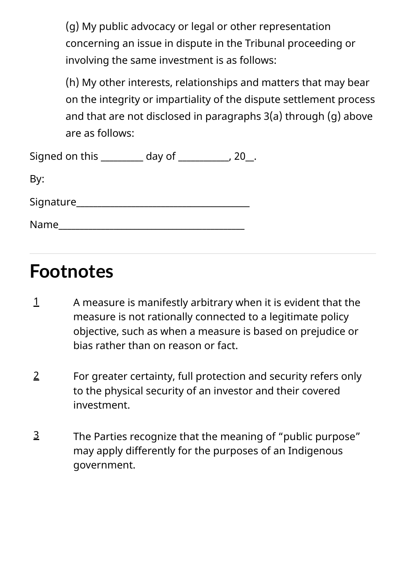(g) My public advocacy or legal or other representation concerning an issue in dispute in the Tribunal proceeding or involving the same investment is as follows:

(h) My other interests, relationships and matters that may bear on the integrity or impartiality of the dispute settlement process and that are not disclosed in paragraphs 3(a) through (g) above are as follows:

| Signed on this | day of | 20 |
|----------------|--------|----|
| By:            |        |    |
| Signature      |        |    |
| Name           |        |    |

# **Footnotes**

- A measure is manifestly arbitrary when it is evident that the measure is not rationally connected to a legitimate policy objective, such as when a measure is based on prejudice or bias rather than on reason or fact. [1](#page-15-0)
- For greater certainty, full protection and security refers only to the physical security of an investor and their covered investment. [2](#page-15-1)
- The Parties recognize that the meaning of "public purpose" may apply differently for the purposes of an Indigenous government. [3](#page-15-2)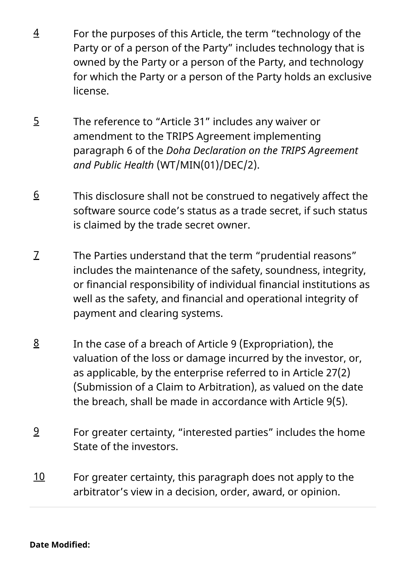- For the purposes of this Article, the term "technology of the Party or of a person of the Party" includes technology that is owned by the Party or a person of the Party, and technology for which the Party or a person of the Party holds an exclusive license. [4](#page-23-0)
- The reference to "Article 31" includes any waiver or amendment to the TRIPS Agreement implementing paragraph 6 of the *Doha Declaration on the TRIPS Agreement and Public Health* (WT/MIN(01)/DEC/2). [5](#page-24-0)
- This disclosure shall not be construed to negatively affect the software source code's status as a trade secret, if such status is claimed by the trade secret owner. [6](#page-25-0)
- The Parties understand that the term "prudential reasons" includes the maintenance of the safety, soundness, integrity, or financial responsibility of individual financial institutions as well as the safety, and financial and operational integrity of payment and clearing systems. [7](#page-33-0)
- In the case of a breach of Article 9 (Expropriation), the valuation of the loss or damage incurred by the investor, or, as applicable, by the enterprise referred to in Article 27(2) (Submission of a Claim to Arbitration), as valued on the date the breach, shall be made in accordance with Article 9(5). [8](#page-54-0)
- <span id="page-82-0"></span>For greater certainty, "interested parties" includes the home State of the investors. [9](#page-75-0)
- <span id="page-82-1"></span>For greater certainty, this paragraph does not apply to the arbitrator's view in a decision, order, award, or opinion. [10](#page-79-0)